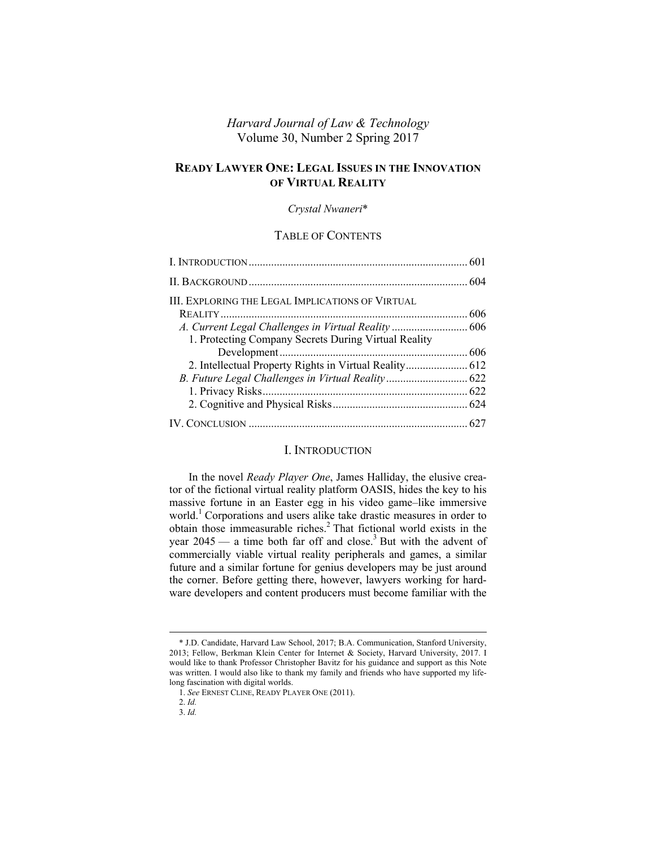# *Harvard Journal of Law & Technology* Volume 30, Number 2 Spring 2017

# **READY LAWYER ONE: LEGAL ISSUES IN THE INNOVATION OF VIRTUAL REALITY**

#### *Crystal Nwaneri*\*

## TABLE OF CONTENTS

| A. Current Legal Challenges in Virtual Reality  606 |
|-----------------------------------------------------|
|                                                     |
|                                                     |
|                                                     |
|                                                     |
|                                                     |
|                                                     |
|                                                     |

### I. INTRODUCTION

In the novel *Ready Player One*, James Halliday, the elusive creator of the fictional virtual reality platform OASIS, hides the key to his massive fortune in an Easter egg in his video game–like immersive world.<sup>1</sup> Corporations and users alike take drastic measures in order to obtain those immeasurable riches.<sup>2</sup> That fictional world exists in the year  $2045 - a$  time both far off and close.<sup>3</sup> But with the advent of commercially viable virtual reality peripherals and games, a similar future and a similar fortune for genius developers may be just around the corner. Before getting there, however, lawyers working for hardware developers and content producers must become familiar with the

 <sup>\*</sup> J.D. Candidate, Harvard Law School, 2017; B.A. Communication, Stanford University, 2013; Fellow, Berkman Klein Center for Internet & Society, Harvard University, 2017. I would like to thank Professor Christopher Bavitz for his guidance and support as this Note was written. I would also like to thank my family and friends who have supported my lifelong fascination with digital worlds.

<sup>1.</sup> *See* ERNEST CLINE, READY PLAYER ONE (2011).

<sup>2.</sup> *Id.*

<sup>3.</sup> *Id.*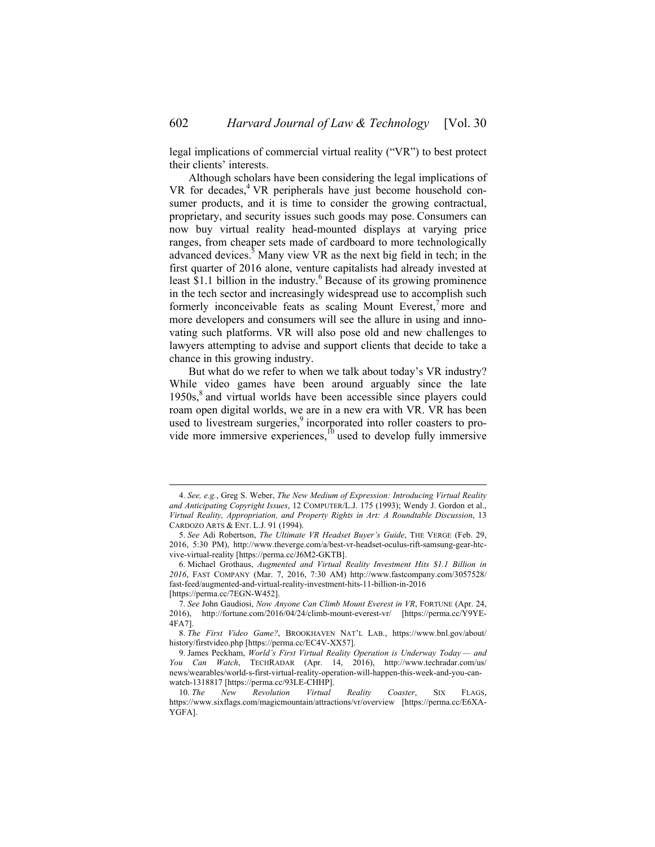legal implications of commercial virtual reality ("VR") to best protect their clients' interests.

Although scholars have been considering the legal implications of VR for decades,<sup>4</sup> VR peripherals have just become household consumer products, and it is time to consider the growing contractual, proprietary, and security issues such goods may pose. Consumers can now buy virtual reality head-mounted displays at varying price ranges, from cheaper sets made of cardboard to more technologically advanced devices.<sup>5</sup> Many view VR as the next big field in tech; in the first quarter of 2016 alone, venture capitalists had already invested at least \$1.1 billion in the industry. $6$  Because of its growing prominence in the tech sector and increasingly widespread use to accomplish such formerly inconceivable feats as scaling Mount Everest, more and more developers and consumers will see the allure in using and innovating such platforms. VR will also pose old and new challenges to lawyers attempting to advise and support clients that decide to take a chance in this growing industry.

But what do we refer to when we talk about today's VR industry? While video games have been around arguably since the late  $1950s$ , $8$  and virtual worlds have been accessible since players could roam open digital worlds, we are in a new era with VR. VR has been used to livestream surgeries,<sup>9</sup> incorporated into roller coasters to provide more immersive experiences, $^{10}$  used to develop fully immersive

 <sup>4.</sup> *See, e.g.*, Greg S. Weber, *The New Medium of Expression: Introducing Virtual Reality and Anticipating Copyright Issues*, 12 COMPUTER/L.J. 175 (1993); Wendy J. Gordon et al., *Virtual Reality, Appropriation, and Property Rights in Art: A Roundtable Discussion*, 13 CARDOZO ARTS & ENT. L.J. 91 (1994).

<sup>5.</sup> *See* Adi Robertson, *The Ultimate VR Headset Buyer's Guide*, THE VERGE (Feb. 29, 2016, 5:30 PM), http://www.theverge.com/a/best-vr-headset-oculus-rift-samsung-gear-htcvive-virtual-reality [https://perma.cc/J6M2-GKTB].

<sup>6.</sup> Michael Grothaus, *Augmented and Virtual Reality Investment Hits \$1.1 Billion in 2016*, FAST COMPANY (Mar. 7, 2016, 7:30 AM) http://www.fastcompany.com/3057528/ fast-feed/augmented-and-virtual-reality-investment-hits-11-billion-in-2016 [https://perma.cc/7EGN-W452].

<sup>7.</sup> *See* John Gaudiosi, *Now Anyone Can Climb Mount Everest in VR*, FORTUNE (Apr. 24, 2016), http://fortune.com/2016/04/24/climb-mount-everest-vr/ [https://perma.cc/Y9YE-4FA7].

<sup>8.</sup> *The First Video Game?*, BROOKHAVEN NAT'L LAB., https://www.bnl.gov/about/ history/firstvideo.php [https://perma.cc/EC4V-XX57].

<sup>9.</sup> James Peckham, *World's First Virtual Reality Operation is Underway Today — and You Can Watch*, TECHRADAR (Apr. 14, 2016), http://www.techradar.com/us/ news/wearables/world-s-first-virtual-reality-operation-will-happen-this-week-and-you-canwatch-1318817 [https://perma.cc/93LE-CHHP].

<sup>10.</sup> *The New Revolution Virtual Reality Coaster*, SIX FLAGS, https://www.sixflags.com/magicmountain/attractions/vr/overview [https://perma.cc/E6XA-YGFA].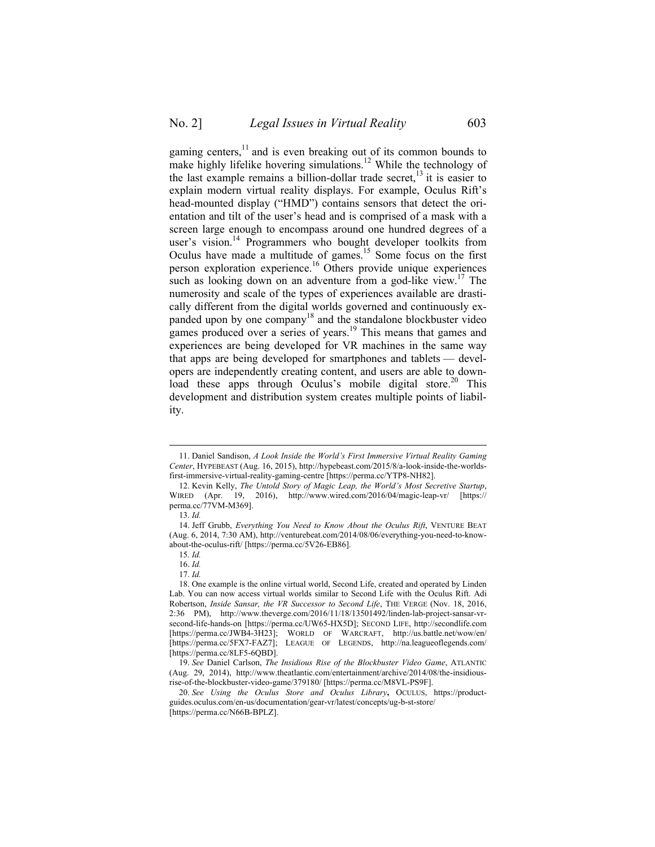gaming centers, $\frac{11}{11}$  and is even breaking out of its common bounds to make highly lifelike hovering simulations.<sup>12</sup> While the technology of the last example remains a billion-dollar trade secret,<sup>13</sup> it is easier to explain modern virtual reality displays. For example, Oculus Rift's head-mounted display ("HMD") contains sensors that detect the orientation and tilt of the user's head and is comprised of a mask with a screen large enough to encompass around one hundred degrees of a user's vision.<sup>14</sup> Programmers who bought developer toolkits from Oculus have made a multitude of games.<sup>15</sup> Some focus on the first person exploration experience.<sup>16</sup> Others provide unique experiences such as looking down on an adventure from a god-like view.<sup>17</sup> The numerosity and scale of the types of experiences available are drastically different from the digital worlds governed and continuously expanded upon by one company 18 and the standalone blockbuster video games produced over a series of years.<sup>19</sup> This means that games and experiences are being developed for VR machines in the same way that apps are being developed for smartphones and tablets — developers are independently creating content, and users are able to download these apps through Oculus's mobile digital store.<sup>20</sup> This development and distribution system creates multiple points of liability.

 <sup>11.</sup> Daniel Sandison, *A Look Inside the World's First Immersive Virtual Reality Gaming Center*, HYPEBEAST (Aug. 16, 2015), http://hypebeast.com/2015/8/a-look-inside-the-worldsfirst-immersive-virtual-reality-gaming-centre [https://perma.cc/YTP8-NH82].

<sup>12.</sup> Kevin Kelly, *The Untold Story of Magic Leap, the World's Most Secretive Startup*, WIRED (Apr. 19, 2016), http://www.wired.com/2016/04/magic-leap-vr/ [https:// perma.cc/77VM-M369].

<sup>13.</sup> *Id.*

<sup>14.</sup> Jeff Grubb, *Everything You Need to Know About the Oculus Rift*, VENTURE BEAT (Aug. 6, 2014, 7:30 AM), http://venturebeat.com/2014/08/06/everything-you-need-to-knowabout-the-oculus-rift/ [https://perma.cc/5V26-EB86].

<sup>15.</sup> *Id.*

<sup>16.</sup> *Id.*

<sup>17.</sup> *Id.*

<sup>18.</sup> One example is the online virtual world, Second Life, created and operated by Linden Lab. You can now access virtual worlds similar to Second Life with the Oculus Rift. Adi Robertson, *Inside Sansar, the VR Successor to Second Life*, THE VERGE (Nov. 18, 2016, 2:36 PM), http://www.theverge.com/2016/11/18/13501492/linden-lab-project-sansar-vrsecond-life-hands-on [https://perma.cc/UW65-HX5D]; SECOND LIFE, http://secondlife.com [https://perma.cc/JWB4-3H23]; WORLD OF WARCRAFT, http://us.battle.net/wow/en/ [https://perma.cc/5FX7-FAZ7]; LEAGUE OF LEGENDS, http://na.leagueoflegends.com/ [https://perma.cc/8LF5-6QBD].

<sup>19.</sup> *See* Daniel Carlson, *The Insidious Rise of the Blockbuster Video Game*, ATLANTIC (Aug. 29, 2014), http://www.theatlantic.com/entertainment/archive/2014/08/the-insidiousrise-of-the-blockbuster-video-game/379180/ [https://perma.cc/M8VL-PS9F].

<sup>20.</sup> *See Using the Oculus Store and Oculus Library***,** OCULUS, https://productguides.oculus.com/en-us/documentation/gear-vr/latest/concepts/ug-b-st-store/ [https://perma.cc/N66B-BPLZ].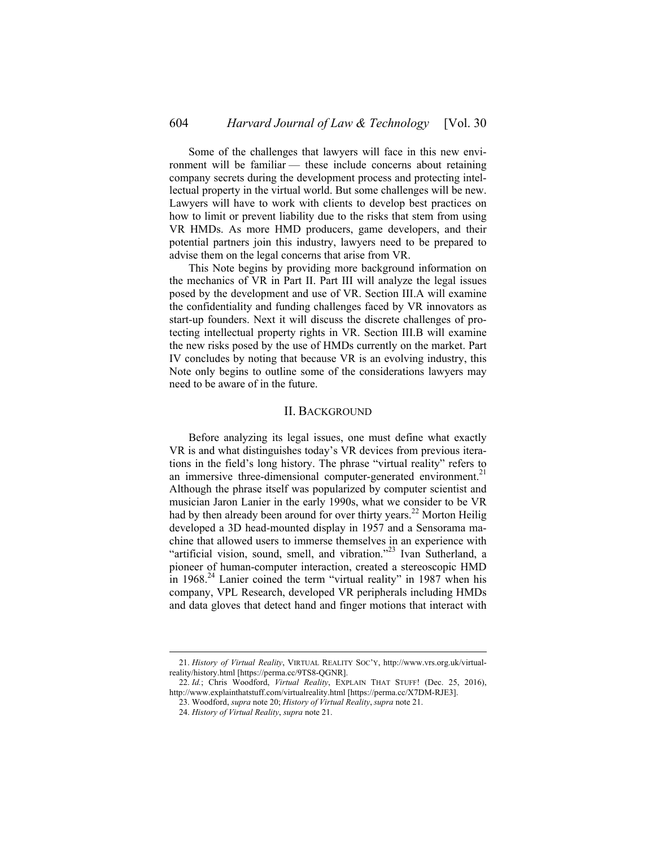Some of the challenges that lawyers will face in this new environment will be familiar — these include concerns about retaining company secrets during the development process and protecting intellectual property in the virtual world. But some challenges will be new. Lawyers will have to work with clients to develop best practices on how to limit or prevent liability due to the risks that stem from using VR HMDs. As more HMD producers, game developers, and their potential partners join this industry, lawyers need to be prepared to advise them on the legal concerns that arise from VR.

This Note begins by providing more background information on the mechanics of VR in Part II. Part III will analyze the legal issues posed by the development and use of VR. Section III.A will examine the confidentiality and funding challenges faced by VR innovators as start-up founders. Next it will discuss the discrete challenges of protecting intellectual property rights in VR. Section III.B will examine the new risks posed by the use of HMDs currently on the market. Part IV concludes by noting that because VR is an evolving industry, this Note only begins to outline some of the considerations lawyers may need to be aware of in the future.

### II. BACKGROUND

Before analyzing its legal issues, one must define what exactly VR is and what distinguishes today's VR devices from previous iterations in the field's long history. The phrase "virtual reality" refers to an immersive three-dimensional computer-generated environment.<sup>21</sup> Although the phrase itself was popularized by computer scientist and musician Jaron Lanier in the early 1990s, what we consider to be VR had by then already been around for over thirty years.<sup>22</sup> Morton Heilig developed a 3D head-mounted display in 1957 and a Sensorama machine that allowed users to immerse themselves in an experience with "artificial vision, sound, smell, and vibration."<sup>23</sup> Ivan Sutherland, a pioneer of human-computer interaction, created a stereoscopic HMD in  $1968.<sup>24</sup>$  Lanier coined the term "virtual reality" in 1987 when his company, VPL Research, developed VR peripherals including HMDs and data gloves that detect hand and finger motions that interact with

 <sup>21.</sup> *History of Virtual Reality*, VIRTUAL REALITY SOC'Y, http://www.vrs.org.uk/virtualreality/history.html [https://perma.cc/9TS8-QGNR].

<sup>22.</sup> *Id.*; Chris Woodford, *Virtual Reality*, EXPLAIN THAT STUFF! (Dec. 25, 2016), http://www.explainthatstuff.com/virtualreality.html [https://perma.cc/X7DM-RJE3].

<sup>23.</sup> Woodford, *supra* note 20; *History of Virtual Reality*, *supra* note 21.

<sup>24.</sup> *History of Virtual Reality*, *supra* note 21.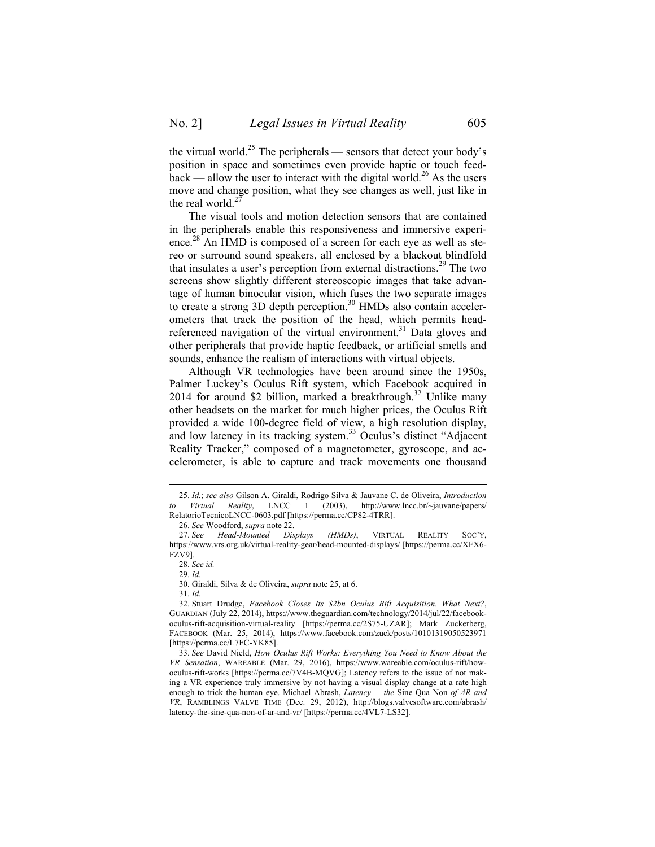the virtual world.<sup>25</sup> The peripherals — sensors that detect your body's position in space and sometimes even provide haptic or touch feed $back$  — allow the user to interact with the digital world.<sup>26</sup> As the users move and change position, what they see changes as well, just like in the real world. $^{2}$ 

The visual tools and motion detection sensors that are contained in the peripherals enable this responsiveness and immersive experience.<sup>28</sup> An HMD is composed of a screen for each eye as well as stereo or surround sound speakers, all enclosed by a blackout blindfold that insulates a user's perception from external distractions.<sup>29</sup> The two screens show slightly different stereoscopic images that take advantage of human binocular vision, which fuses the two separate images to create a strong 3D depth perception.<sup>30</sup> HMDs also contain accelerometers that track the position of the head, which permits headreferenced navigation of the virtual environment.<sup>31</sup> Data gloves and other peripherals that provide haptic feedback, or artificial smells and sounds, enhance the realism of interactions with virtual objects.

Although VR technologies have been around since the 1950s, Palmer Luckey's Oculus Rift system, which Facebook acquired in 2014 for around \$2 billion, marked a breakthrough.<sup>32</sup> Unlike many other headsets on the market for much higher prices, the Oculus Rift provided a wide 100-degree field of view, a high resolution display, and low latency in its tracking system.<sup>33</sup> Oculus's distinct "Adjacent" Reality Tracker," composed of a magnetometer, gyroscope, and accelerometer, is able to capture and track movements one thousand

30. Giraldi, Silva & de Oliveira, *supra* note 25, at 6.

 <sup>25.</sup> *Id.*; *see also* Gilson A. Giraldi, Rodrigo Silva & Jauvane C. de Oliveira, *Introduction to Virtual Reality*, LNCC 1 (2003), http://www.lncc.br/~jauvane/papers/ RelatorioTecnicoLNCC-0603.pdf [https://perma.cc/CP82-4TRR].

<sup>26.</sup> *See* Woodford, *supra* note 22.

<sup>27.</sup> *See Head-Mounted Displays (HMDs)*, VIRTUAL REALITY SOC'Y, https://www.vrs.org.uk/virtual-reality-gear/head-mounted-displays/ [https://perma.cc/XFX6- FZV9].

<sup>28.</sup> *See id.*

<sup>29.</sup> *Id.*

<sup>31.</sup> *Id.*

<sup>32.</sup> Stuart Drudge, *Facebook Closes Its \$2bn Oculus Rift Acquisition. What Next?*, GUARDIAN (July 22, 2014), https://www.theguardian.com/technology/2014/jul/22/facebookoculus-rift-acquisition-virtual-reality [https://perma.cc/2S75-UZAR]; Mark Zuckerberg, FACEBOOK (Mar. 25, 2014), https://www.facebook.com/zuck/posts/10101319050523971 [https://perma.cc/L7FC-YK85].

<sup>33.</sup> *See* David Nield, *How Oculus Rift Works: Everything You Need to Know About the VR Sensation*, WAREABLE (Mar. 29, 2016), https://www.wareable.com/oculus-rift/howoculus-rift-works [https://perma.cc/7V4B-MQVG]; Latency refers to the issue of not making a VR experience truly immersive by not having a visual display change at a rate high enough to trick the human eye. Michael Abrash, *Latency — the* Sine Qua Non *of AR and VR*, RAMBLINGS VALVE TIME (Dec. 29, 2012), http://blogs.valvesoftware.com/abrash/ latency-the-sine-qua-non-of-ar-and-vr/ [https://perma.cc/4VL7-LS32].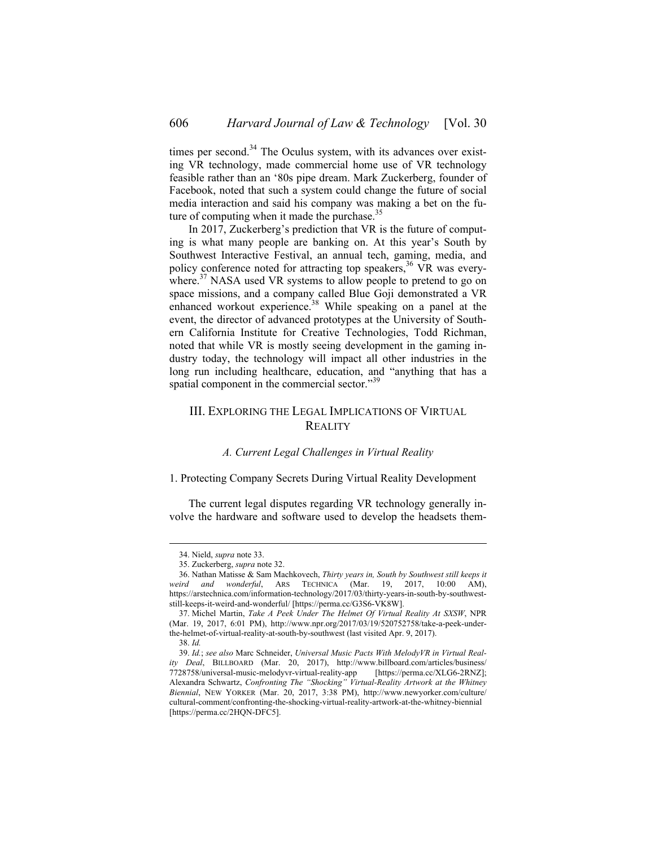times per second. $34$  The Oculus system, with its advances over existing VR technology, made commercial home use of VR technology feasible rather than an '80s pipe dream. Mark Zuckerberg, founder of Facebook, noted that such a system could change the future of social media interaction and said his company was making a bet on the future of computing when it made the purchase.<sup>35</sup>

In 2017, Zuckerberg's prediction that VR is the future of computing is what many people are banking on. At this year's South by Southwest Interactive Festival, an annual tech, gaming, media, and policy conference noted for attracting top speakers,<sup>36</sup> VR was everywhere. $37$  NASA used VR systems to allow people to pretend to go on space missions, and a company called Blue Goji demonstrated a VR enhanced workout experience.<sup>38</sup> While speaking on a panel at the event, the director of advanced prototypes at the University of Southern California Institute for Creative Technologies, Todd Richman, noted that while VR is mostly seeing development in the gaming industry today, the technology will impact all other industries in the long run including healthcare, education, and "anything that has a spatial component in the commercial sector."39

## III. EXPLORING THE LEGAL IMPLICATIONS OF VIRTUAL **REALITY**

## *A. Current Legal Challenges in Virtual Reality*

1. Protecting Company Secrets During Virtual Reality Development

The current legal disputes regarding VR technology generally involve the hardware and software used to develop the headsets them-

 <sup>34.</sup> Nield, *supra* note 33.

<sup>35.</sup> Zuckerberg, *supra* note 32.

<sup>36.</sup> Nathan Matisse & Sam Machkovech, *Thirty years in, South by Southwest still keeps it weird and wonderful*, ARS TECHNICA (Mar. 19, 2017, 10:00 AM), https://arstechnica.com/information-technology/2017/03/thirty-years-in-south-by-southweststill-keeps-it-weird-and-wonderful/ [https://perma.cc/G3S6-VK8W].

<sup>37.</sup> Michel Martin, *Take A Peek Under The Helmet Of Virtual Reality At SXSW*, NPR (Mar. 19, 2017, 6:01 PM), http://www.npr.org/2017/03/19/520752758/take-a-peek-underthe-helmet-of-virtual-reality-at-south-by-southwest (last visited Apr. 9, 2017).

<sup>38.</sup> *Id.*

<sup>39.</sup> *Id.*; *see also* Marc Schneider, *Universal Music Pacts With MelodyVR in Virtual Reality Deal*, BILLBOARD (Mar. 20, 2017), http://www.billboard.com/articles/business/ 7728758/universal-music-melodyvr-virtual-reality-app [https://perma.cc/XLG6-2RNZ]; Alexandra Schwartz, *Confronting The "Shocking" Virtual-Reality Artwork at the Whitney Biennial*, NEW YORKER (Mar. 20, 2017, 3:38 PM), http://www.newyorker.com/culture/ cultural-comment/confronting-the-shocking-virtual-reality-artwork-at-the-whitney-biennial [https://perma.cc/2HQN-DFC5].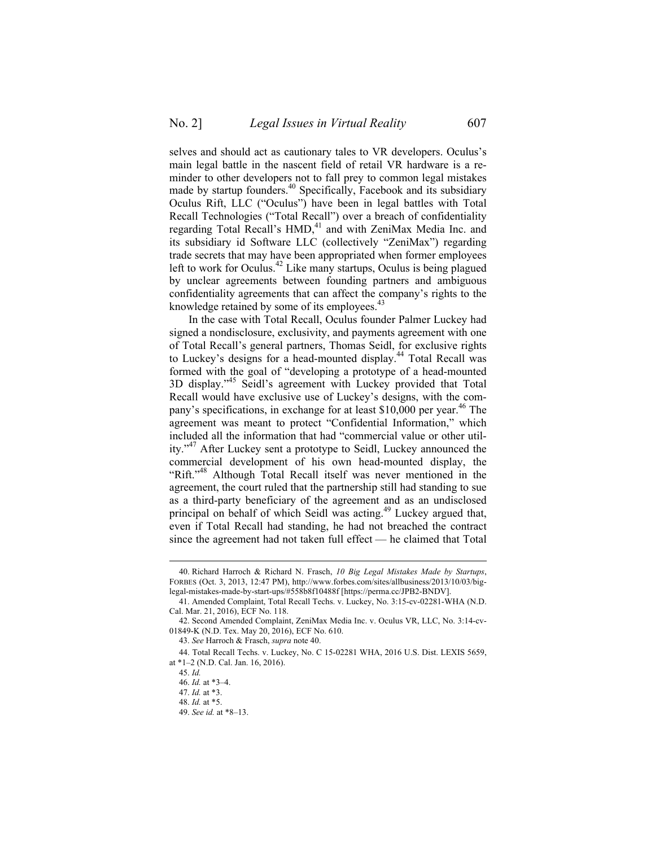selves and should act as cautionary tales to VR developers. Oculus's main legal battle in the nascent field of retail VR hardware is a reminder to other developers not to fall prey to common legal mistakes made by startup founders.<sup>40</sup> Specifically, Facebook and its subsidiary Oculus Rift, LLC ("Oculus") have been in legal battles with Total Recall Technologies ("Total Recall") over a breach of confidentiality regarding Total Recall's HMD,<sup>41</sup> and with ZeniMax Media Inc. and its subsidiary id Software LLC (collectively "ZeniMax") regarding trade secrets that may have been appropriated when former employees left to work for Oculus.<sup>42</sup> Like many startups, Oculus is being plagued by unclear agreements between founding partners and ambiguous confidentiality agreements that can affect the company's rights to the knowledge retained by some of its employees.<sup>4</sup>

In the case with Total Recall, Oculus founder Palmer Luckey had signed a nondisclosure, exclusivity, and payments agreement with one of Total Recall's general partners, Thomas Seidl, for exclusive rights to Luckey's designs for a head-mounted display.<sup>44</sup> Total Recall was formed with the goal of "developing a prototype of a head-mounted 3D display." <sup>45</sup> Seidl's agreement with Luckey provided that Total Recall would have exclusive use of Luckey's designs, with the company's specifications, in exchange for at least \$10,000 per year.<sup>46</sup> The agreement was meant to protect "Confidential Information," which included all the information that had "commercial value or other utility."<sup>47</sup> After Luckey sent a prototype to Seidl, Luckey announced the commercial development of his own head-mounted display, the "Rift."<sup>48</sup> Although Total Recall itself was never mentioned in the agreement, the court ruled that the partnership still had standing to sue as a third-party beneficiary of the agreement and as an undisclosed principal on behalf of which Seidl was acting.<sup>49</sup> Luckey argued that, even if Total Recall had standing, he had not breached the contract since the agreement had not taken full effect — he claimed that Total

 <sup>40.</sup> Richard Harroch & Richard N. Frasch, *10 Big Legal Mistakes Made by Startups*, FORBES (Oct. 3, 2013, 12:47 PM), http://www.forbes.com/sites/allbusiness/2013/10/03/biglegal-mistakes-made-by-start-ups/#558b8f10488f [https://perma.cc/JPB2-BNDV].

<sup>41.</sup> Amended Complaint, Total Recall Techs. v. Luckey, No. 3:15-cv-02281-WHA (N.D. Cal. Mar. 21, 2016), ECF No. 118.

<sup>42.</sup> Second Amended Complaint, ZeniMax Media Inc. v. Oculus VR, LLC, No. 3:14-cv-01849-K (N.D. Tex. May 20, 2016), ECF No. 610.

<sup>43.</sup> *See* Harroch & Frasch, *supra* note 40.

<sup>44.</sup> Total Recall Techs. v. Luckey, No. C 15-02281 WHA, 2016 U.S. Dist. LEXIS 5659, at \*1–2 (N.D. Cal. Jan. 16, 2016).

<sup>45.</sup> *Id.* 

<sup>46.</sup> *Id.* at \*3–4.

<sup>47.</sup> *Id.* at \*3.

<sup>48.</sup> *Id.* at \*5.

<sup>49.</sup> *See id.* at \*8–13.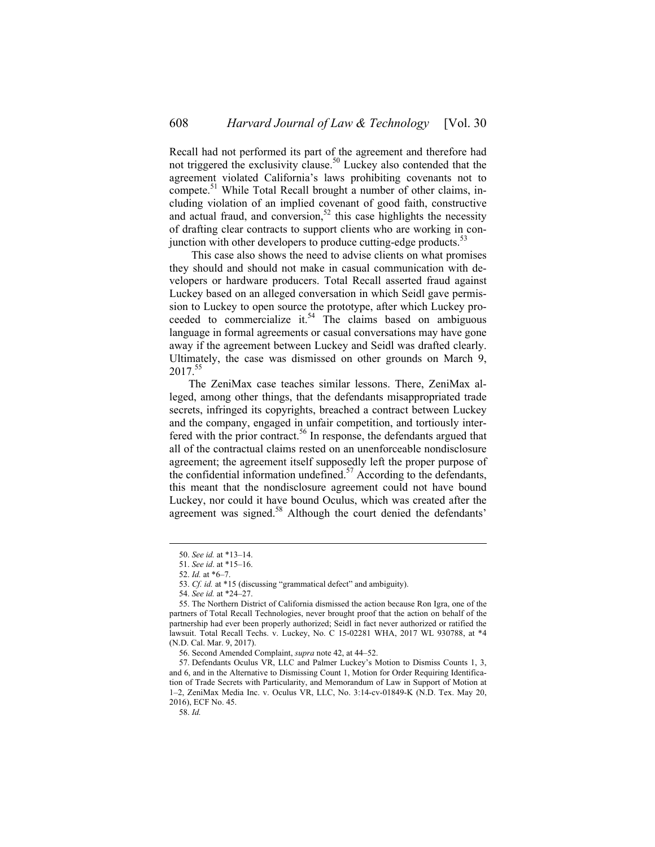Recall had not performed its part of the agreement and therefore had not triggered the exclusivity clause.<sup>50</sup> Luckey also contended that the agreement violated California's laws prohibiting covenants not to compete.<sup>51</sup> While Total Recall brought a number of other claims, including violation of an implied covenant of good faith, constructive and actual fraud, and conversion,<sup>52</sup> this case highlights the necessity of drafting clear contracts to support clients who are working in conjunction with other developers to produce cutting-edge products.<sup>53</sup>

 This case also shows the need to advise clients on what promises they should and should not make in casual communication with developers or hardware producers. Total Recall asserted fraud against Luckey based on an alleged conversation in which Seidl gave permission to Luckey to open source the prototype, after which Luckey proceeded to commercialize it.<sup>54</sup> The claims based on ambiguous language in formal agreements or casual conversations may have gone away if the agreement between Luckey and Seidl was drafted clearly. Ultimately, the case was dismissed on other grounds on March 9, 2017.<sup>55</sup>

The ZeniMax case teaches similar lessons. There, ZeniMax alleged, among other things, that the defendants misappropriated trade secrets, infringed its copyrights, breached a contract between Luckey and the company, engaged in unfair competition, and tortiously interfered with the prior contract.<sup>56</sup> In response, the defendants argued that all of the contractual claims rested on an unenforceable nondisclosure agreement; the agreement itself supposedly left the proper purpose of the confidential information undefined.<sup>57</sup> According to the defendants, this meant that the nondisclosure agreement could not have bound Luckey, nor could it have bound Oculus, which was created after the agreement was signed.<sup>58</sup> Although the court denied the defendants'

 <sup>50.</sup> *See id.* at \*13–14.

<sup>51.</sup> *See id*. at \*15–16.

<sup>52.</sup> *Id.* at \*6–7.

<sup>53.</sup> *Cf. id.* at \*15 (discussing "grammatical defect" and ambiguity).

<sup>54.</sup> *See id.* at \*24–27.

<sup>55.</sup> The Northern District of California dismissed the action because Ron Igra, one of the partners of Total Recall Technologies, never brought proof that the action on behalf of the partnership had ever been properly authorized; Seidl in fact never authorized or ratified the lawsuit. Total Recall Techs. v. Luckey, No. C 15-02281 WHA, 2017 WL 930788, at \*4 (N.D. Cal. Mar. 9, 2017).

<sup>56.</sup> Second Amended Complaint, *supra* note 42, at 44–52.

<sup>57.</sup> Defendants Oculus VR, LLC and Palmer Luckey's Motion to Dismiss Counts 1, 3, and 6, and in the Alternative to Dismissing Count 1, Motion for Order Requiring Identification of Trade Secrets with Particularity, and Memorandum of Law in Support of Motion at 1–2, ZeniMax Media Inc. v. Oculus VR, LLC, No. 3:14-cv-01849-K (N.D. Tex. May 20, 2016), ECF No. 45.

<sup>58.</sup> *Id.*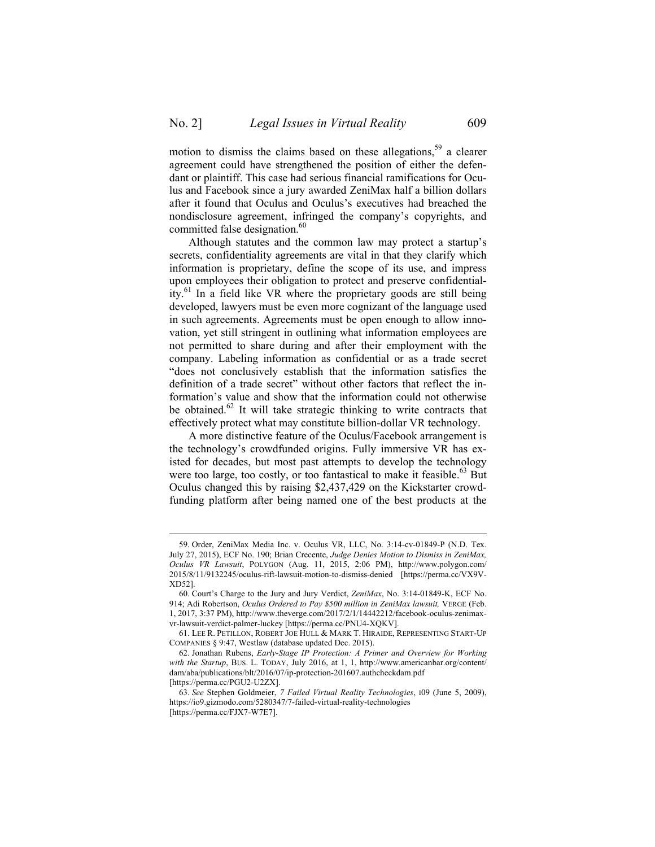motion to dismiss the claims based on these allegations,<sup>59</sup> a clearer agreement could have strengthened the position of either the defendant or plaintiff. This case had serious financial ramifications for Oculus and Facebook since a jury awarded ZeniMax half a billion dollars after it found that Oculus and Oculus's executives had breached the nondisclosure agreement, infringed the company's copyrights, and committed false designation.<sup>60</sup>

Although statutes and the common law may protect a startup's secrets, confidentiality agreements are vital in that they clarify which information is proprietary, define the scope of its use, and impress upon employees their obligation to protect and preserve confidentiality.<sup>61</sup> In a field like VR where the proprietary goods are still being developed, lawyers must be even more cognizant of the language used in such agreements. Agreements must be open enough to allow innovation, yet still stringent in outlining what information employees are not permitted to share during and after their employment with the company. Labeling information as confidential or as a trade secret "does not conclusively establish that the information satisfies the definition of a trade secret" without other factors that reflect the information's value and show that the information could not otherwise be obtained.<sup>62</sup> It will take strategic thinking to write contracts that effectively protect what may constitute billion-dollar VR technology.

A more distinctive feature of the Oculus/Facebook arrangement is the technology's crowdfunded origins. Fully immersive VR has existed for decades, but most past attempts to develop the technology were too large, too costly, or too fantastical to make it feasible.<sup>63</sup> But Oculus changed this by raising \$2,437,429 on the Kickstarter crowdfunding platform after being named one of the best products at the

 <sup>59.</sup> Order, ZeniMax Media Inc. v. Oculus VR, LLC, No. 3:14-cv-01849-P (N.D. Tex. July 27, 2015), ECF No. 190; Brian Crecente, *Judge Denies Motion to Dismiss in ZeniMax, Oculus VR Lawsuit*, POLYGON (Aug. 11, 2015, 2:06 PM), http://www.polygon.com/ 2015/8/11/9132245/oculus-rift-lawsuit-motion-to-dismiss-denied [https://perma.cc/VX9V-XD52].

<sup>60.</sup> Court's Charge to the Jury and Jury Verdict, *ZeniMax*, No. 3:14-01849-K, ECF No. 914; Adi Robertson, *Oculus Ordered to Pay \$500 million in ZeniMax lawsuit,* VERGE (Feb. 1, 2017, 3:37 PM), http://www.theverge.com/2017/2/1/14442212/facebook-oculus-zenimaxvr-lawsuit-verdict-palmer-luckey [https://perma.cc/PNU4-XQKV].

<sup>61.</sup> LEE R. PETILLON, ROBERT JOE HULL & MARK T. HIRAIDE, REPRESENTING START-UP COMPANIES § 9:47, Westlaw (database updated Dec. 2015).

<sup>62.</sup> Jonathan Rubens, *Early-Stage IP Protection: A Primer and Overview for Working with the Startup*, BUS. L. TODAY, July 2016, at 1, 1, http://www.americanbar.org/content/ dam/aba/publications/blt/2016/07/ip-protection-201607.authcheckdam.pdf [https://perma.cc/PGU2-U2ZX].

<sup>63.</sup> *See* Stephen Goldmeier, *7 Failed Virtual Reality Technologies*, I09 (June 5, 2009), https://io9.gizmodo.com/5280347/7-failed-virtual-reality-technologies [https://perma.cc/FJX7-W7E7].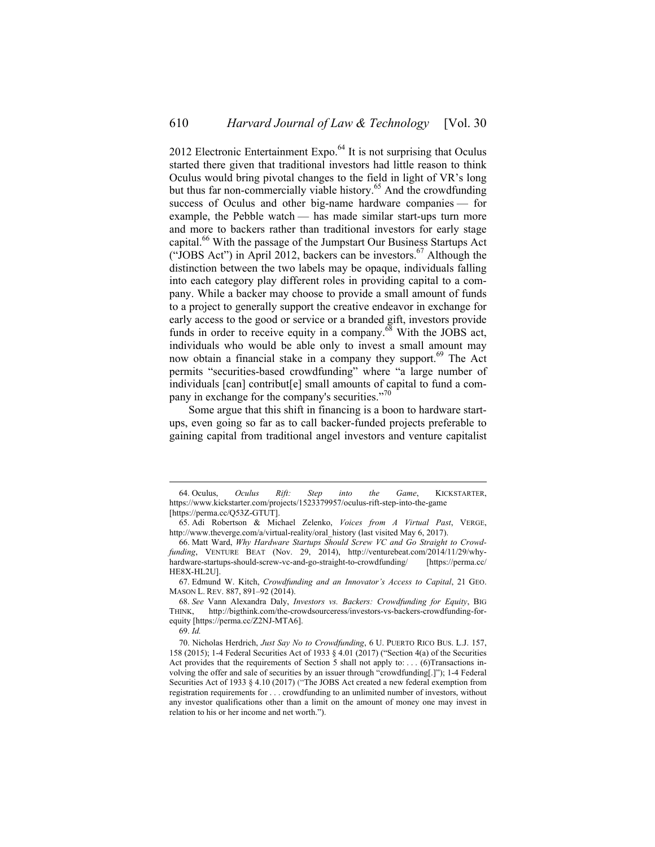2012 Electronic Entertainment Expo. $<sup>64</sup>$  It is not surprising that Oculus</sup> started there given that traditional investors had little reason to think Oculus would bring pivotal changes to the field in light of VR's long but thus far non-commercially viable history.<sup>65</sup> And the crowdfunding success of Oculus and other big-name hardware companies — for example, the Pebble watch — has made similar start-ups turn more and more to backers rather than traditional investors for early stage capital.<sup>66</sup> With the passage of the Jumpstart Our Business Startups Act ("JOBS Act") in April 2012, backers can be investors.<sup>67</sup> Although the distinction between the two labels may be opaque, individuals falling into each category play different roles in providing capital to a company. While a backer may choose to provide a small amount of funds to a project to generally support the creative endeavor in exchange for early access to the good or service or a branded gift, investors provide funds in order to receive equity in a company.<sup>68</sup> With the JOBS act, individuals who would be able only to invest a small amount may now obtain a financial stake in a company they support.<sup>69</sup> The Act permits "securities-based crowdfunding" where "a large number of individuals [can] contribut[e] small amounts of capital to fund a company in exchange for the company's securities."<sup>70</sup>

Some argue that this shift in financing is a boon to hardware startups, even going so far as to call backer-funded projects preferable to gaining capital from traditional angel investors and venture capitalist

 <sup>64.</sup> Oculus, *Oculus Rift: Step into the Game*, KICKSTARTER, https://www.kickstarter.com/projects/1523379957/oculus-rift-step-into-the-game [https://perma.cc/Q53Z-GTUT].

<sup>65.</sup> Adi Robertson & Michael Zelenko, *Voices from A Virtual Past*, VERGE, http://www.theverge.com/a/virtual-reality/oral\_history (last visited May 6, 2017).

<sup>66.</sup> Matt Ward, *Why Hardware Startups Should Screw VC and Go Straight to Crowdfunding*, VENTURE BEAT (Nov. 29, 2014), http://venturebeat.com/2014/11/29/whyhardware-startups-should-screw-vc-and-go-straight-to-crowdfunding/ [https://perma.cc/ HE8X-HL2U].

<sup>67.</sup> Edmund W. Kitch, *Crowdfunding and an Innovator's Access to Capital*, 21 GEO. MASON L. REV. 887, 891–92 (2014).

<sup>68.</sup> *See* Vann Alexandra Daly, *Investors vs. Backers: Crowdfunding for Equity*, BIG THINK, http://bigthink.com/the-crowdsourceress/investors-vs-backers-crowdfunding-forequity [https://perma.cc/Z2NJ-MTA6].

<sup>69.</sup> *Id.*

<sup>70.</sup> Nicholas Herdrich, *Just Say No to Crowdfunding*, 6 U. PUERTO RICO BUS. L.J. 157, 158 (2015); 1-4 Federal Securities Act of 1933 § 4.01 (2017) ("Section 4(a) of the Securities Act provides that the requirements of Section 5 shall not apply to: . . . (6) Transactions involving the offer and sale of securities by an issuer through "crowdfunding[.]"); 1-4 Federal Securities Act of 1933 § 4.10 (2017) ("The JOBS Act created a new federal exemption from registration requirements for . . . crowdfunding to an unlimited number of investors, without any investor qualifications other than a limit on the amount of money one may invest in relation to his or her income and net worth.").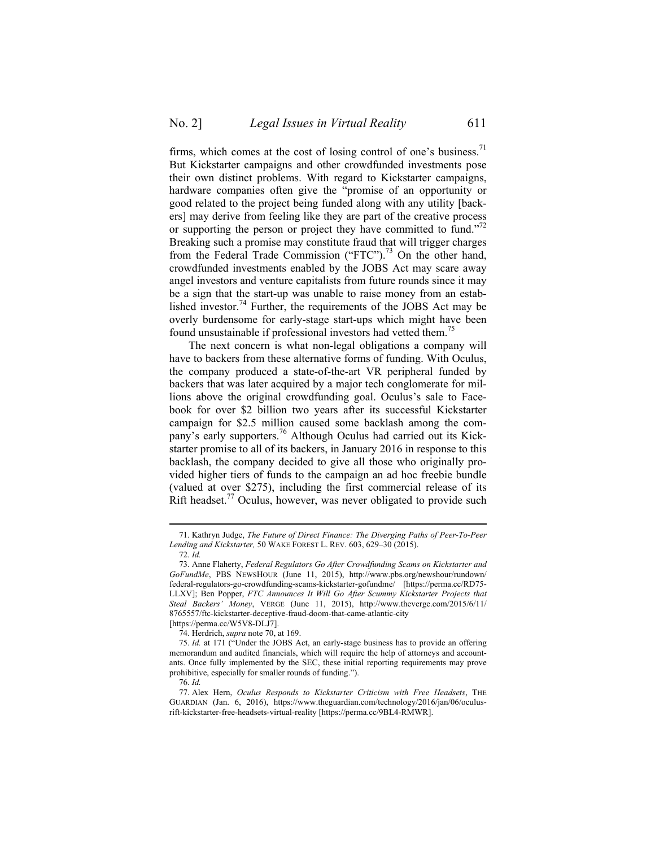firms, which comes at the cost of losing control of one's business.<sup>71</sup> But Kickstarter campaigns and other crowdfunded investments pose their own distinct problems. With regard to Kickstarter campaigns, hardware companies often give the "promise of an opportunity or good related to the project being funded along with any utility [backers] may derive from feeling like they are part of the creative process or supporting the person or project they have committed to fund."<sup>72</sup> Breaking such a promise may constitute fraud that will trigger charges from the Federal Trade Commission ("FTC").<sup>73</sup> On the other hand, crowdfunded investments enabled by the JOBS Act may scare away angel investors and venture capitalists from future rounds since it may be a sign that the start-up was unable to raise money from an established investor.<sup>74</sup> Further, the requirements of the JOBS Act may be overly burdensome for early-stage start-ups which might have been found unsustainable if professional investors had vetted them.<sup>75</sup>

The next concern is what non-legal obligations a company will have to backers from these alternative forms of funding. With Oculus, the company produced a state-of-the-art VR peripheral funded by backers that was later acquired by a major tech conglomerate for millions above the original crowdfunding goal. Oculus's sale to Facebook for over \$2 billion two years after its successful Kickstarter campaign for \$2.5 million caused some backlash among the company's early supporters.<sup>76</sup> Although Oculus had carried out its Kickstarter promise to all of its backers, in January 2016 in response to this backlash, the company decided to give all those who originally provided higher tiers of funds to the campaign an ad hoc freebie bundle (valued at over \$275), including the first commercial release of its Rift headset.<sup>77</sup> Oculus, however, was never obligated to provide such

 <sup>71.</sup> Kathryn Judge, *The Future of Direct Finance: The Diverging Paths of Peer-To-Peer Lending and Kickstarter,* 50 WAKE FOREST L. REV. 603, 629–30 (2015).

<sup>72.</sup> *Id.*

<sup>73.</sup> Anne Flaherty, *Federal Regulators Go After Crowdfunding Scams on Kickstarter and GoFundMe*, PBS NEWSHOUR (June 11, 2015), http://www.pbs.org/newshour/rundown/ federal-regulators-go-crowdfunding-scams-kickstarter-gofundme/ [https://perma.cc/RD75- LLXV]; Ben Popper, *FTC Announces It Will Go After Scummy Kickstarter Projects that Steal Backers' Money*, VERGE (June 11, 2015), http://www.theverge.com/2015/6/11/ 8765557/ftc-kickstarter-deceptive-fraud-doom-that-came-atlantic-city

<sup>[</sup>https://perma.cc/W5V8-DLJ7].

<sup>74.</sup> Herdrich, *supra* note 70, at 169.

<sup>75.</sup> *Id.* at 171 ("Under the JOBS Act, an early-stage business has to provide an offering memorandum and audited financials, which will require the help of attorneys and accountants. Once fully implemented by the SEC, these initial reporting requirements may prove prohibitive, especially for smaller rounds of funding.").

<sup>76.</sup> *Id.*

<sup>77.</sup> Alex Hern, *Oculus Responds to Kickstarter Criticism with Free Headsets*, THE GUARDIAN (Jan. 6, 2016), https://www.theguardian.com/technology/2016/jan/06/oculusrift-kickstarter-free-headsets-virtual-reality [https://perma.cc/9BL4-RMWR].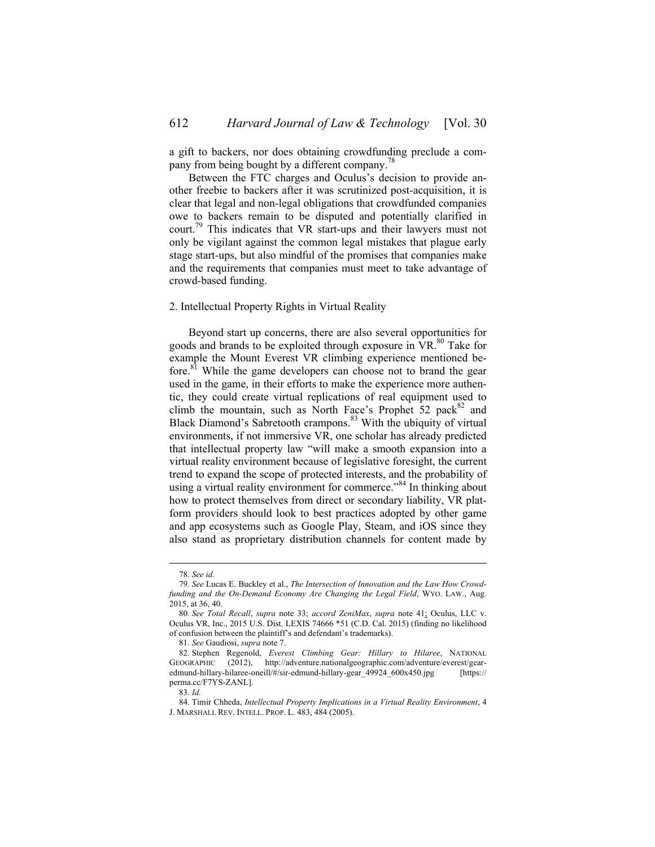a gift to backers, nor does obtaining crowdfunding preclude a company from being bought by a different company.<sup>78</sup>

Between the FTC charges and Oculus's decision to provide another freebie to backers after it was scrutinized post-acquisition, it is clear that legal and non-legal obligations that crowdfunded companies owe to backers remain to be disputed and potentially clarified in court.<sup>79</sup> This indicates that VR start-ups and their lawyers must not only be vigilant against the common legal mistakes that plague early stage start-ups, but also mindful of the promises that companies make and the requirements that companies must meet to take advantage of crowd-based funding.

### 2. Intellectual Property Rights in Virtual Reality

Beyond start up concerns, there are also several opportunities for goods and brands to be exploited through exposure in  $VR$ .<sup>80</sup> Take for example the Mount Everest VR climbing experience mentioned before.<sup>81</sup> While the game developers can choose not to brand the gear used in the game, in their efforts to make the experience more authentic, they could create virtual replications of real equipment used to climb the mountain, such as North Face's Prophet  $52$  pack<sup>82</sup> and Black Diamond's Sabretooth crampons.<sup>83</sup> With the ubiquity of virtual environments, if not immersive VR, one scholar has already predicted that intellectual property law "will make a smooth expansion into a virtual reality environment because of legislative foresight, the current trend to expand the scope of protected interests, and the probability of using a virtual reality environment for commerce."<sup>84</sup> In thinking about how to protect themselves from direct or secondary liability, VR platform providers should look to best practices adopted by other game and app ecosystems such as Google Play, Steam, and iOS since they also stand as proprietary distribution channels for content made by

 <sup>78.</sup> *See id.*

<sup>79.</sup> *See* Lucas E. Buckley et al., *The Intersection of Innovation and the Law How Crowdfunding and the On-Demand Economy Are Changing the Legal Field*, WYO. LAW., Aug. 2015, at 36, 40.

<sup>80.</sup> *See Total Recall*, *supra* note 33; *accord ZeniMax*, *supra* note 41; Oculus, LLC v. Oculus VR, Inc., 2015 U.S. Dist. LEXIS 74666 \*51 (C.D. Cal. 2015) (finding no likelihood of confusion between the plaintiff's and defendant's trademarks).

<sup>81.</sup> *See* Gaudiosi, *supra* note 7.

<sup>82.</sup> Stephen Regenold, *Everest Climbing Gear: Hillary to Hilaree*, NATIONAL GEOGRAPHIC (2012), http://adventure.nationalgeographic.com/adventure/everest/gearedmund-hillary-hilaree-oneill/#/sir-edmund-hillary-gear\_49924\_600x450.jpg [https:// perma.cc/F7YS-ZANL].

<sup>83.</sup> *Id.* 

<sup>84.</sup> Timir Chheda, *Intellectual Property Implications in a Virtual Reality Environment*, 4 J. MARSHALL REV. INTELL. PROP. L. 483, 484 (2005).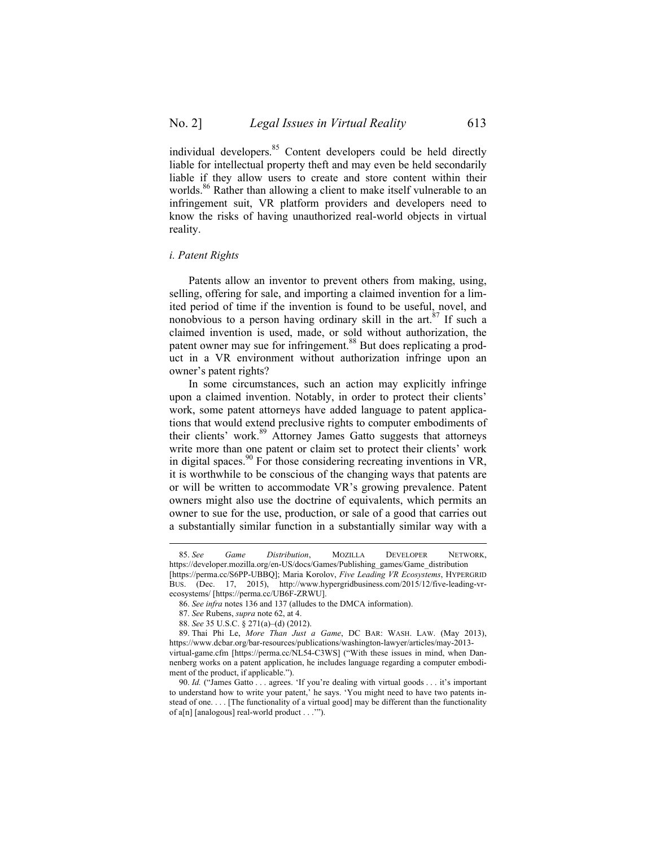individual developers.<sup>85</sup> Content developers could be held directly liable for intellectual property theft and may even be held secondarily liable if they allow users to create and store content within their worlds.<sup>86</sup> Rather than allowing a client to make itself vulnerable to an infringement suit, VR platform providers and developers need to know the risks of having unauthorized real-world objects in virtual reality.

#### *i. Patent Rights*

Patents allow an inventor to prevent others from making, using, selling, offering for sale, and importing a claimed invention for a limited period of time if the invention is found to be useful, novel, and nonobvious to a person having ordinary skill in the  $art.^{87}$  If such a claimed invention is used, made, or sold without authorization, the patent owner may sue for infringement.<sup>88</sup> But does replicating a product in a VR environment without authorization infringe upon an owner's patent rights?

In some circumstances, such an action may explicitly infringe upon a claimed invention. Notably, in order to protect their clients' work, some patent attorneys have added language to patent applications that would extend preclusive rights to computer embodiments of their clients' work.<sup>89</sup> Attorney James Gatto suggests that attorneys write more than one patent or claim set to protect their clients' work in digital spaces. <sup>90</sup> For those considering recreating inventions in VR, it is worthwhile to be conscious of the changing ways that patents are or will be written to accommodate VR's growing prevalence. Patent owners might also use the doctrine of equivalents, which permits an owner to sue for the use, production, or sale of a good that carries out a substantially similar function in a substantially similar way with a

 <sup>85.</sup> *See Game Distribution*, MOZILLA DEVELOPER NETWORK, https://developer.mozilla.org/en-US/docs/Games/Publishing\_games/Game\_distribution [https://perma.cc/S6PP-UBBQ]; Maria Korolov, *Five Leading VR Ecosystems*, HYPERGRID BUS. (Dec. 17, 2015), http://www.hypergridbusiness.com/2015/12/five-leading-vrecosystems/ [https://perma.cc/UB6F-ZRWU].

<sup>86.</sup> *See infra* notes 136 and 137 (alludes to the DMCA information).

<sup>87.</sup> *See* Rubens, *supra* note 62, at 4.

<sup>88.</sup> *See* 35 U.S.C. § 271(a)–(d) (2012).

<sup>89.</sup> Thai Phi Le, *More Than Just a Game*, DC BAR: WASH. LAW. (May 2013), https://www.dcbar.org/bar-resources/publications/washington-lawyer/articles/may-2013 virtual-game.cfm [https://perma.cc/NL54-C3WS] ("With these issues in mind, when Dannenberg works on a patent application, he includes language regarding a computer embodiment of the product, if applicable.").

<sup>90.</sup> *Id.* ("James Gatto . . . agrees. 'If you're dealing with virtual goods . . . it's important to understand how to write your patent,' he says. 'You might need to have two patents instead of one. . . . [The functionality of a virtual good] may be different than the functionality of a[n] [analogous] real-world product . . .'").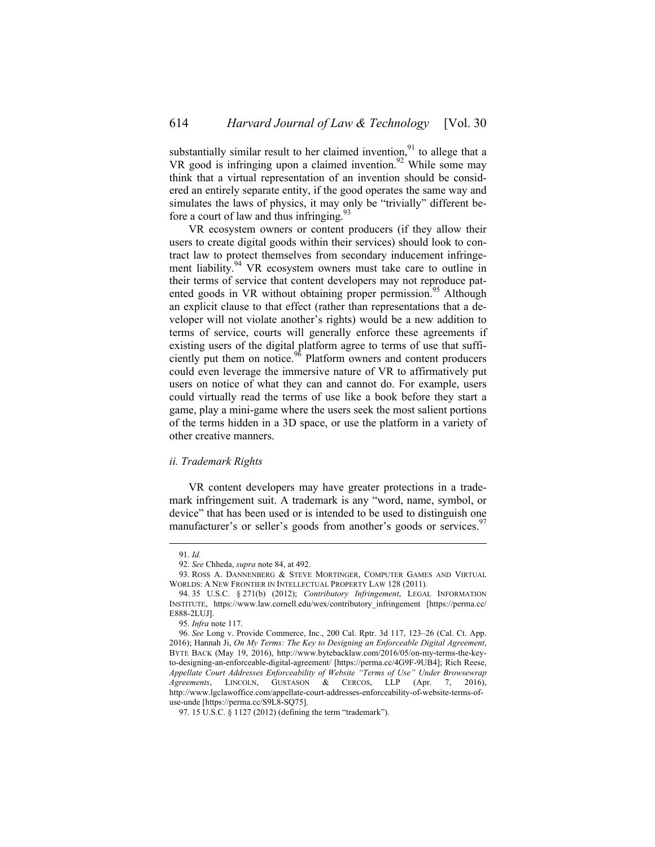substantially similar result to her claimed invention,  $91$  to allege that a VR good is infringing upon a claimed invention.<sup>92</sup> While some may think that a virtual representation of an invention should be considered an entirely separate entity, if the good operates the same way and simulates the laws of physics, it may only be "trivially" different before a court of law and thus infringing. $93$ 

VR ecosystem owners or content producers (if they allow their users to create digital goods within their services) should look to contract law to protect themselves from secondary inducement infringement liability.<sup>94</sup> VR ecosystem owners must take care to outline in their terms of service that content developers may not reproduce patented goods in VR without obtaining proper permission.<sup>95</sup> Although an explicit clause to that effect (rather than representations that a developer will not violate another's rights) would be a new addition to terms of service, courts will generally enforce these agreements if existing users of the digital platform agree to terms of use that sufficiently put them on notice.<sup>96</sup> Platform owners and content producers could even leverage the immersive nature of VR to affirmatively put users on notice of what they can and cannot do. For example, users could virtually read the terms of use like a book before they start a game, play a mini-game where the users seek the most salient portions of the terms hidden in a 3D space, or use the platform in a variety of other creative manners.

#### *ii. Trademark Rights*

VR content developers may have greater protections in a trademark infringement suit. A trademark is any "word, name, symbol, or device" that has been used or is intended to be used to distinguish one manufacturer's or seller's goods from another's goods or services.<sup>97</sup>

 <sup>91.</sup> *Id.* 

<sup>92.</sup> *See* Chheda, *supra* note 84, at 492.

<sup>93.</sup> ROSS A. DANNENBERG & STEVE MORTINGER, COMPUTER GAMES AND VIRTUAL WORLDS: A NEW FRONTIER IN INTELLECTUAL PROPERTY LAW 128 (2011).

<sup>94.</sup> 35 U.S.C. § 271(b) (2012); *Contributory Infringement*, LEGAL INFORMATION INSTITUTE, https://www.law.cornell.edu/wex/contributory\_infringement [https://perma.cc/ E888-2LUJ].

<sup>95.</sup> *Infra* note 117.

<sup>96.</sup> *See* Long v. Provide Commerce, Inc., 200 Cal. Rptr. 3d 117, 123–26 (Cal. Ct. App. 2016); Hannah Ji, *On My Terms: The Key to Designing an Enforceable Digital Agreement*, BYTE BACK (May 19, 2016), http://www.bytebacklaw.com/2016/05/on-my-terms-the-keyto-designing-an-enforceable-digital-agreement/ [https://perma.cc/4G9F-9UB4]; Rich Reese, *Appellate Court Addresses Enforceability of Website "Terms of Use" Under Browsewrap Agreements*, LINCOLN, GUSTASON & CERCOS, LLP (Apr. 7, 2016), http://www.lgclawoffice.com/appellate-court-addresses-enforceability-of-website-terms-ofuse-unde [https://perma.cc/S9L8-SQ75].

<sup>97.</sup> 15 U.S.C. § 1127 (2012) (defining the term "trademark").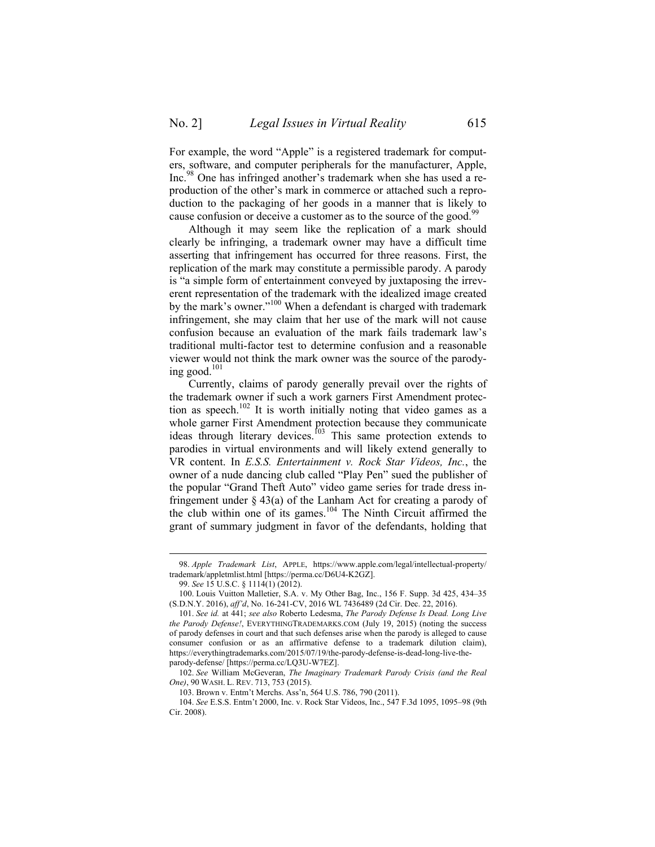For example, the word "Apple" is a registered trademark for computers, software, and computer peripherals for the manufacturer, Apple, Inc.98 One has infringed another's trademark when she has used a reproduction of the other's mark in commerce or attached such a reproduction to the packaging of her goods in a manner that is likely to cause confusion or deceive a customer as to the source of the good.<sup>99</sup>

Although it may seem like the replication of a mark should clearly be infringing, a trademark owner may have a difficult time asserting that infringement has occurred for three reasons. First, the replication of the mark may constitute a permissible parody. A parody is "a simple form of entertainment conveyed by juxtaposing the irreverent representation of the trademark with the idealized image created by the mark's owner."<sup>100</sup> When a defendant is charged with trademark infringement, she may claim that her use of the mark will not cause confusion because an evaluation of the mark fails trademark law's traditional multi-factor test to determine confusion and a reasonable viewer would not think the mark owner was the source of the parodying good. $101$ 

Currently, claims of parody generally prevail over the rights of the trademark owner if such a work garners First Amendment protection as speech.<sup>102</sup> It is worth initially noting that video games as a whole garner First Amendment protection because they communicate ideas through literary devices.<sup>103</sup> This same protection extends to parodies in virtual environments and will likely extend generally to VR content. In *E.S.S. Entertainment v. Rock Star Videos, Inc.*, the owner of a nude dancing club called "Play Pen" sued the publisher of the popular "Grand Theft Auto" video game series for trade dress infringement under § 43(a) of the Lanham Act for creating a parody of the club within one of its games. <sup>104</sup> The Ninth Circuit affirmed the grant of summary judgment in favor of the defendants, holding that

 <sup>98.</sup> *Apple Trademark List*, APPLE, https://www.apple.com/legal/intellectual-property/ trademark/appletmlist.html [https://perma.cc/D6U4-K2GZ].

<sup>99.</sup> *See* 15 U.S.C. § 1114(1) (2012).

<sup>100.</sup> Louis Vuitton Malletier, S.A. v. My Other Bag, Inc., 156 F. Supp. 3d 425, 434–35 (S.D.N.Y. 2016), *aff'd*, No. 16-241-CV, 2016 WL 7436489 (2d Cir. Dec. 22, 2016).

<sup>101.</sup> *See id.* at 441; *see also* Roberto Ledesma, *The Parody Defense Is Dead. Long Live the Parody Defense!*, EVERYTHINGTRADEMARKS.COM (July 19, 2015) (noting the success of parody defenses in court and that such defenses arise when the parody is alleged to cause consumer confusion or as an affirmative defense to a trademark dilution claim), https://everythingtrademarks.com/2015/07/19/the-parody-defense-is-dead-long-live-theparody-defense/ [https://perma.cc/LQ3U-W7EZ].

<sup>102.</sup> *See* William McGeveran, *The Imaginary Trademark Parody Crisis (and the Real One)*, 90 WASH. L. REV. 713, 753 (2015).

<sup>103.</sup> Brown v. Entm't Merchs. Ass'n, 564 U.S. 786, 790 (2011).

<sup>104.</sup> *See* E.S.S. Entm't 2000, Inc. v. Rock Star Videos, Inc., 547 F.3d 1095, 1095–98 (9th Cir. 2008).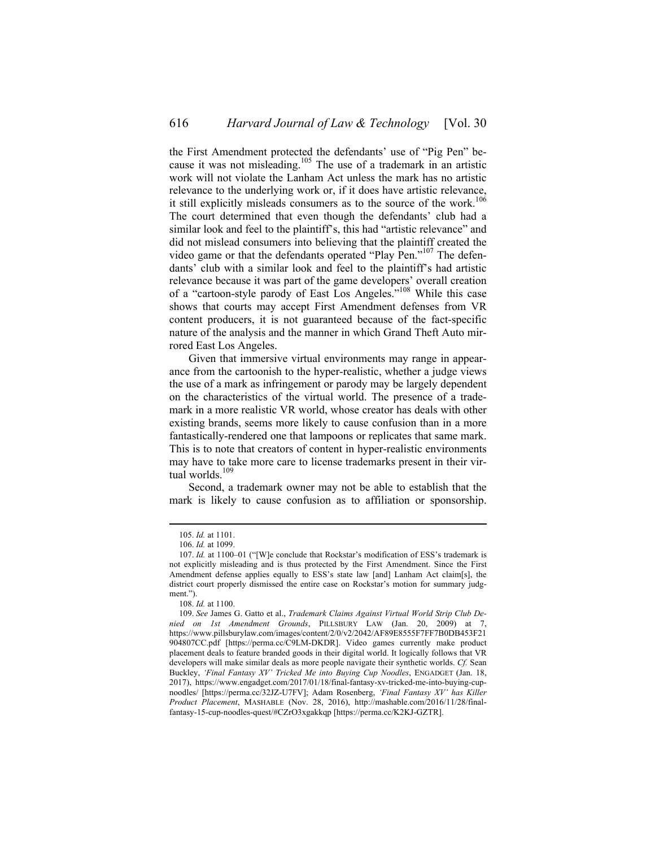the First Amendment protected the defendants' use of "Pig Pen" because it was not misleading.<sup>105</sup> The use of a trademark in an artistic work will not violate the Lanham Act unless the mark has no artistic relevance to the underlying work or, if it does have artistic relevance, it still explicitly misleads consumers as to the source of the work.<sup>106</sup> The court determined that even though the defendants' club had a similar look and feel to the plaintiff's, this had "artistic relevance" and did not mislead consumers into believing that the plaintiff created the video game or that the defendants operated "Play Pen."<sup>107</sup> The defendants' club with a similar look and feel to the plaintiff's had artistic relevance because it was part of the game developers' overall creation of a "cartoon-style parody of East Los Angeles."<sup>108</sup> While this case shows that courts may accept First Amendment defenses from VR content producers, it is not guaranteed because of the fact-specific nature of the analysis and the manner in which Grand Theft Auto mirrored East Los Angeles.

Given that immersive virtual environments may range in appearance from the cartoonish to the hyper-realistic, whether a judge views the use of a mark as infringement or parody may be largely dependent on the characteristics of the virtual world. The presence of a trademark in a more realistic VR world, whose creator has deals with other existing brands, seems more likely to cause confusion than in a more fantastically-rendered one that lampoons or replicates that same mark. This is to note that creators of content in hyper-realistic environments may have to take more care to license trademarks present in their virtual worlds.<sup>109</sup>

Second, a trademark owner may not be able to establish that the mark is likely to cause confusion as to affiliation or sponsorship.

 <sup>105.</sup> *Id.* at 1101.

<sup>106.</sup> *Id.* at 1099.

<sup>107.</sup> *Id.* at 1100–01 ("[W]e conclude that Rockstar's modification of ESS's trademark is not explicitly misleading and is thus protected by the First Amendment. Since the First Amendment defense applies equally to ESS's state law [and] Lanham Act claim[s], the district court properly dismissed the entire case on Rockstar's motion for summary judgment.").

<sup>108.</sup> *Id.* at 1100.

<sup>109.</sup> *See* James G. Gatto et al., *Trademark Claims Against Virtual World Strip Club Denied on 1st Amendment Grounds*, PILLSBURY LAW (Jan. 20, 2009) at 7, https://www.pillsburylaw.com/images/content/2/0/v2/2042/AF89E8555F7FF7B0DB453F21 904807CC.pdf [https://perma.cc/C9LM-DKDR]. Video games currently make product placement deals to feature branded goods in their digital world. It logically follows that VR developers will make similar deals as more people navigate their synthetic worlds. *Cf.* Sean Buckley, *'Final Fantasy XV' Tricked Me into Buying Cup Noodles*, ENGADGET (Jan. 18, 2017), https://www.engadget.com/2017/01/18/final-fantasy-xv-tricked-me-into-buying-cupnoodles/ [https://perma.cc/32JZ-U7FV]; Adam Rosenberg, *'Final Fantasy XV' has Killer Product Placement*, MASHABLE (Nov. 28, 2016), http://mashable.com/2016/11/28/finalfantasy-15-cup-noodles-quest/#CZrO3xgakkqp [https://perma.cc/K2KJ-GZTR].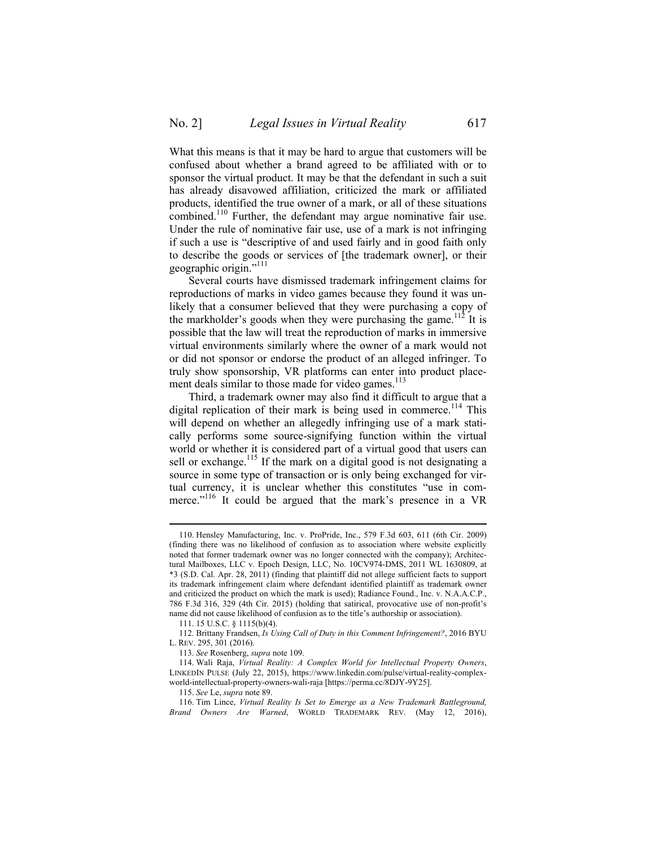What this means is that it may be hard to argue that customers will be confused about whether a brand agreed to be affiliated with or to sponsor the virtual product. It may be that the defendant in such a suit has already disavowed affiliation, criticized the mark or affiliated products, identified the true owner of a mark, or all of these situations combined.<sup>110</sup> Further, the defendant may argue nominative fair use. Under the rule of nominative fair use, use of a mark is not infringing if such a use is "descriptive of and used fairly and in good faith only to describe the goods or services of [the trademark owner], or their geographic origin."<sup>111</sup>

Several courts have dismissed trademark infringement claims for reproductions of marks in video games because they found it was unlikely that a consumer believed that they were purchasing a copy of the markholder's goods when they were purchasing the game.<sup>112</sup> It is possible that the law will treat the reproduction of marks in immersive virtual environments similarly where the owner of a mark would not or did not sponsor or endorse the product of an alleged infringer. To truly show sponsorship, VR platforms can enter into product placement deals similar to those made for video games.<sup>113</sup>

Third, a trademark owner may also find it difficult to argue that a digital replication of their mark is being used in commerce.<sup>114</sup> This will depend on whether an allegedly infringing use of a mark statically performs some source-signifying function within the virtual world or whether it is considered part of a virtual good that users can sell or exchange.<sup>115</sup> If the mark on a digital good is not designating a source in some type of transaction or is only being exchanged for virtual currency, it is unclear whether this constitutes "use in commerce."<sup>116</sup> It could be argued that the mark's presence in a VR

 <sup>110.</sup> Hensley Manufacturing, Inc. v. ProPride, Inc., 579 F.3d 603, 611 (6th Cir. 2009) (finding there was no likelihood of confusion as to association where website explicitly noted that former trademark owner was no longer connected with the company); Architectural Mailboxes, LLC v. Epoch Design, LLC, No. 10CV974-DMS, 2011 WL 1630809, at \*3 (S.D. Cal. Apr. 28, 2011) (finding that plaintiff did not allege sufficient facts to support its trademark infringement claim where defendant identified plaintiff as trademark owner and criticized the product on which the mark is used); Radiance Found., Inc. v. N.A.A.C.P., 786 F.3d 316, 329 (4th Cir. 2015) (holding that satirical, provocative use of non-profit's name did not cause likelihood of confusion as to the title's authorship or association).

<sup>111.</sup> 15 U.S.C. § 1115(b)(4).

<sup>112.</sup> Brittany Frandsen, *Is Using Call of Duty in this Comment Infringement?*, 2016 BYU L. REV. 295, 301 (2016).

<sup>113.</sup> *See* Rosenberg, *supra* note 109.

<sup>114.</sup> Wali Raja, *Virtual Reality: A Complex World for Intellectual Property Owners*, LINKEDIN PULSE (July 22, 2015), https://www.linkedin.com/pulse/virtual-reality-complexworld-intellectual-property-owners-wali-raja [https://perma.cc/8DJY-9Y25].

<sup>115.</sup> *See* Le, *supra* note 89.

<sup>116.</sup> Tim Lince, *Virtual Reality Is Set to Emerge as a New Trademark Battleground, Brand Owners Are Warned*, WORLD TRADEMARK REV. (May 12, 2016),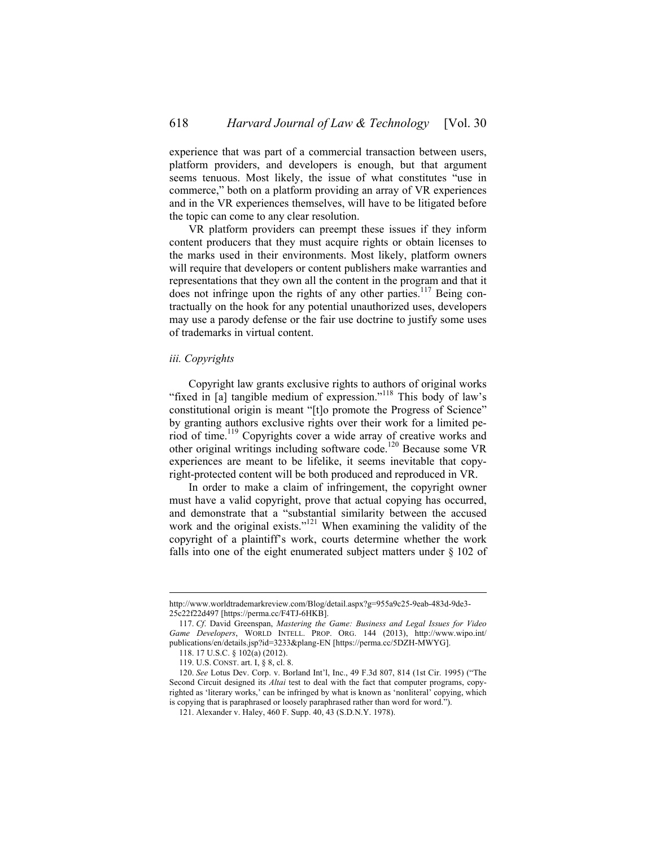experience that was part of a commercial transaction between users, platform providers, and developers is enough, but that argument seems tenuous. Most likely, the issue of what constitutes "use in commerce," both on a platform providing an array of VR experiences and in the VR experiences themselves, will have to be litigated before the topic can come to any clear resolution.

VR platform providers can preempt these issues if they inform content producers that they must acquire rights or obtain licenses to the marks used in their environments. Most likely, platform owners will require that developers or content publishers make warranties and representations that they own all the content in the program and that it does not infringe upon the rights of any other parties.<sup>117</sup> Being contractually on the hook for any potential unauthorized uses, developers may use a parody defense or the fair use doctrine to justify some uses of trademarks in virtual content.

#### *iii. Copyrights*

Copyright law grants exclusive rights to authors of original works "fixed in [a] tangible medium of expression."<sup>118</sup> This body of law's constitutional origin is meant "[t]o promote the Progress of Science" by granting authors exclusive rights over their work for a limited period of time.<sup>119</sup> Copyrights cover a wide array of creative works and other original writings including software code.<sup>120</sup> Because some VR experiences are meant to be lifelike, it seems inevitable that copyright-protected content will be both produced and reproduced in VR.

In order to make a claim of infringement, the copyright owner must have a valid copyright, prove that actual copying has occurred, and demonstrate that a "substantial similarity between the accused work and the original exists."<sup>121</sup> When examining the validity of the copyright of a plaintiff's work, courts determine whether the work falls into one of the eight enumerated subject matters under § 102 of

http://www.worldtrademarkreview.com/Blog/detail.aspx?g=955a9c25-9eab-483d-9de3- 25c22f22d497 [https://perma.cc/F4TJ-6HKB].

<sup>117.</sup> *Cf*. David Greenspan, *Mastering the Game: Business and Legal Issues for Video Game Developers*, WORLD INTELL. PROP. ORG. 144 (2013), http://www.wipo.int/ publications/en/details.jsp?id=3233&plang-EN [https://perma.cc/5DZH-MWYG].

<sup>118.</sup> 17 U.S.C. § 102(a) (2012).

<sup>119.</sup> U.S. CONST. art. I, § 8, cl. 8.

<sup>120.</sup> *See* Lotus Dev. Corp. v. Borland Int'l, Inc., 49 F.3d 807, 814 (1st Cir. 1995) ("The Second Circuit designed its *Altai* test to deal with the fact that computer programs, copyrighted as 'literary works,' can be infringed by what is known as 'nonliteral' copying, which is copying that is paraphrased or loosely paraphrased rather than word for word.").

<sup>121.</sup> Alexander v. Haley, 460 F. Supp. 40, 43 (S.D.N.Y. 1978).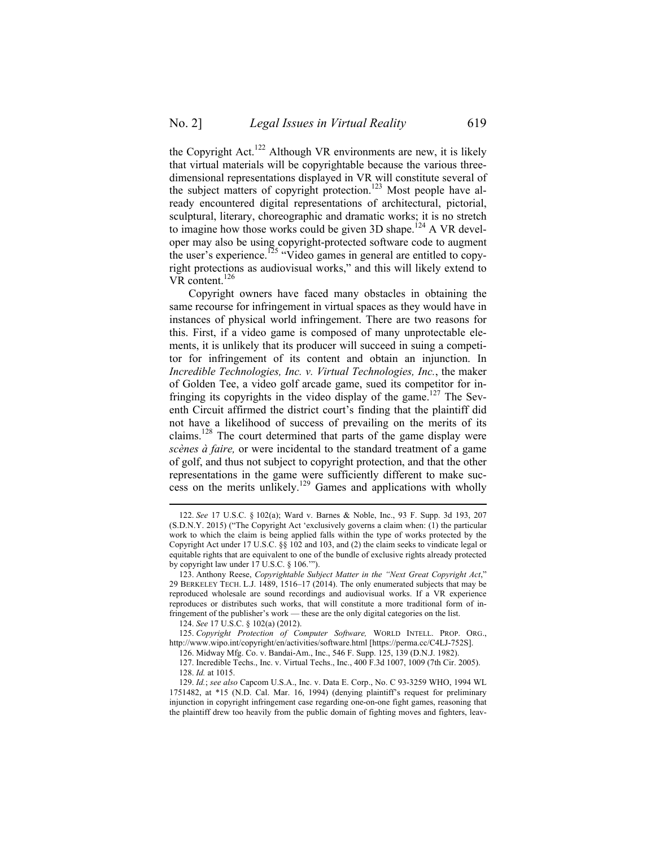the Copyright Act.<sup>122</sup> Although VR environments are new, it is likely that virtual materials will be copyrightable because the various threedimensional representations displayed in VR will constitute several of the subject matters of copyright protection.<sup>123</sup> Most people have already encountered digital representations of architectural, pictorial, sculptural, literary, choreographic and dramatic works; it is no stretch to imagine how those works could be given 3D shape.<sup>124</sup> A VR developer may also be using copyright-protected software code to augment the user's experience.<sup>125</sup> "Video games in general are entitled to copyright protections as audiovisual works," and this will likely extend to VR content.<sup>126</sup>

Copyright owners have faced many obstacles in obtaining the same recourse for infringement in virtual spaces as they would have in instances of physical world infringement. There are two reasons for this. First, if a video game is composed of many unprotectable elements, it is unlikely that its producer will succeed in suing a competitor for infringement of its content and obtain an injunction. In *Incredible Technologies, Inc. v. Virtual Technologies, Inc.*, the maker of Golden Tee, a video golf arcade game, sued its competitor for infringing its copyrights in the video display of the game.<sup>127</sup> The Seventh Circuit affirmed the district court's finding that the plaintiff did not have a likelihood of success of prevailing on the merits of its claims. <sup>128</sup> The court determined that parts of the game display were *scènes à faire,* or were incidental to the standard treatment of a game of golf, and thus not subject to copyright protection, and that the other representations in the game were sufficiently different to make success on the merits unlikely.<sup>129</sup> Games and applications with wholly

 <sup>122.</sup> *See* 17 U.S.C. § 102(a); Ward v. Barnes & Noble, Inc., 93 F. Supp. 3d 193, 207 (S.D.N.Y. 2015) ("The Copyright Act 'exclusively governs a claim when: (1) the particular work to which the claim is being applied falls within the type of works protected by the Copyright Act under 17 U.S.C. §§ 102 and 103, and (2) the claim seeks to vindicate legal or equitable rights that are equivalent to one of the bundle of exclusive rights already protected by copyright law under 17 U.S.C. § 106.'").

<sup>123.</sup> Anthony Reese, *Copyrightable Subject Matter in the "Next Great Copyright Act*," 29 BERKELEY TECH. L.J. 1489, 1516–17 (2014). The only enumerated subjects that may be reproduced wholesale are sound recordings and audiovisual works. If a VR experience reproduces or distributes such works, that will constitute a more traditional form of infringement of the publisher's work — these are the only digital categories on the list.

<sup>124.</sup> *See* 17 U.S.C. § 102(a) (2012).

<sup>125.</sup> *Copyright Protection of Computer Software,* WORLD INTELL. PROP. ORG., http://www.wipo.int/copyright/en/activities/software.html [https://perma.cc/C4LJ-752S].

<sup>126.</sup> Midway Mfg. Co. v. Bandai-Am., Inc., 546 F. Supp. 125, 139 (D.N.J. 1982).

<sup>127.</sup> Incredible Techs., Inc. v. Virtual Techs., Inc., 400 F.3d 1007, 1009 (7th Cir. 2005). 128. *Id.* at 1015.

<sup>129.</sup> *Id.*; *see also* Capcom U.S.A., Inc. v. Data E. Corp., No. C 93-3259 WHO, 1994 WL 1751482, at \*15 (N.D. Cal. Mar. 16, 1994) (denying plaintiff's request for preliminary injunction in copyright infringement case regarding one-on-one fight games, reasoning that the plaintiff drew too heavily from the public domain of fighting moves and fighters, leav-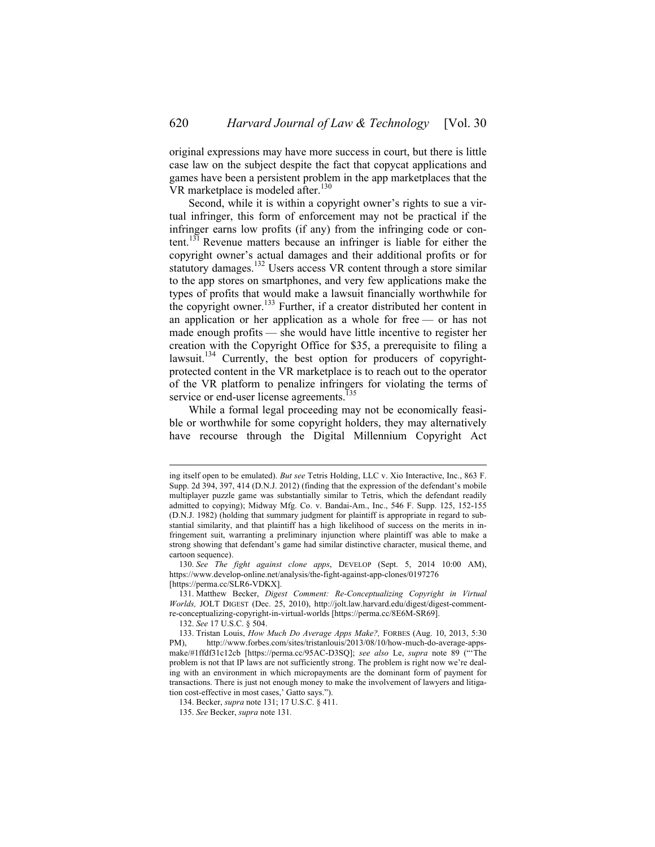original expressions may have more success in court, but there is little case law on the subject despite the fact that copycat applications and games have been a persistent problem in the app marketplaces that the VR marketplace is modeled after.<sup>130</sup>

Second, while it is within a copyright owner's rights to sue a virtual infringer, this form of enforcement may not be practical if the infringer earns low profits (if any) from the infringing code or content.131 Revenue matters because an infringer is liable for either the copyright owner's actual damages and their additional profits or for statutory damages.<sup>132</sup> Users access VR content through a store similar to the app stores on smartphones, and very few applications make the types of profits that would make a lawsuit financially worthwhile for the copyright owner.<sup>133</sup> Further, if a creator distributed her content in an application or her application as a whole for free — or has not made enough profits — she would have little incentive to register her creation with the Copyright Office for \$35, a prerequisite to filing a lawsuit.<sup>134</sup> Currently, the best option for producers of copyrightprotected content in the VR marketplace is to reach out to the operator of the VR platform to penalize infringers for violating the terms of service or end-user license agreements.<sup>1</sup>

While a formal legal proceeding may not be economically feasible or worthwhile for some copyright holders, they may alternatively have recourse through the Digital Millennium Copyright Act

132. *See* 17 U.S.C. § 504.

ing itself open to be emulated). *But see* Tetris Holding, LLC v. Xio Interactive, Inc., 863 F. Supp. 2d 394, 397, 414 (D.N.J. 2012) (finding that the expression of the defendant's mobile multiplayer puzzle game was substantially similar to Tetris, which the defendant readily admitted to copying); Midway Mfg. Co. v. Bandai-Am., Inc., 546 F. Supp. 125, 152-155 (D.N.J. 1982) (holding that summary judgment for plaintiff is appropriate in regard to substantial similarity, and that plaintiff has a high likelihood of success on the merits in infringement suit, warranting a preliminary injunction where plaintiff was able to make a strong showing that defendant's game had similar distinctive character, musical theme, and cartoon sequence).

<sup>130.</sup> *See The fight against clone apps*, DEVELOP (Sept. 5, 2014 10:00 AM), https://www.develop-online.net/analysis/the-fight-against-app-clones/0197276 [https://perma.cc/SLR6-VDKX].

<sup>131.</sup> Matthew Becker, *Digest Comment: Re-Conceptualizing Copyright in Virtual Worlds,* JOLT DIGEST (Dec. 25, 2010), http://jolt.law.harvard.edu/digest/digest-commentre-conceptualizing-copyright-in-virtual-worlds [https://perma.cc/8E6M-SR69].

<sup>133.</sup> Tristan Louis, *How Much Do Average Apps Make?,* FORBES (Aug. 10, 2013, 5:30 PM), http://www.forbes.com/sites/tristanlouis/2013/08/10/how-much-do-average-appsmake/#1ffdf31c12cb [https://perma.cc/95AC-D3SQ]; *see also* Le, *supra* note 89 ("'The problem is not that IP laws are not sufficiently strong. The problem is right now we're dealing with an environment in which micropayments are the dominant form of payment for transactions. There is just not enough money to make the involvement of lawyers and litigation cost-effective in most cases,' Gatto says.").

<sup>134.</sup> Becker, *supra* note 131; 17 U.S.C. § 411.

<sup>135.</sup> *See* Becker, *supra* note 131*.*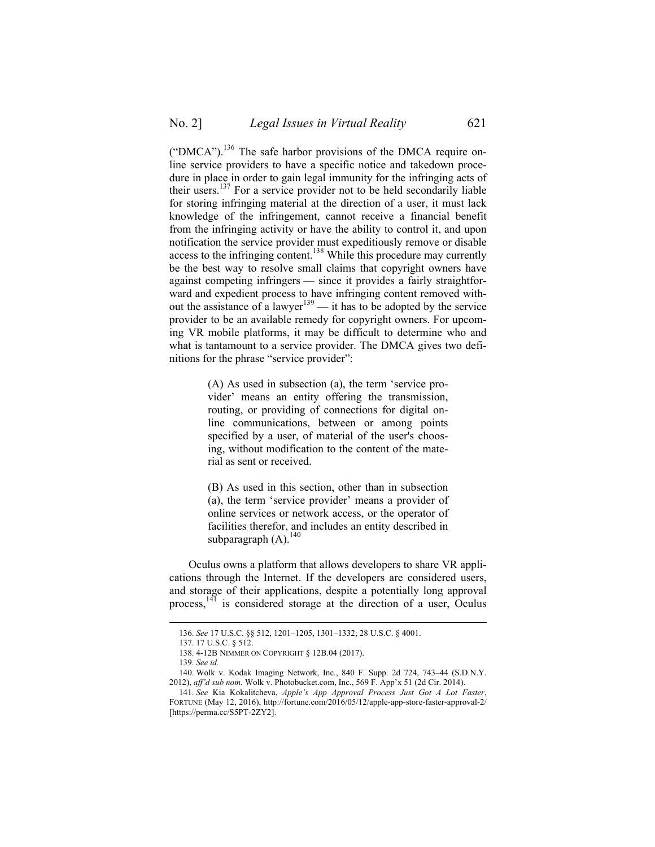("DMCA").<sup>136</sup> The safe harbor provisions of the DMCA require online service providers to have a specific notice and takedown procedure in place in order to gain legal immunity for the infringing acts of their users.<sup>137</sup> For a service provider not to be held secondarily liable for storing infringing material at the direction of a user, it must lack knowledge of the infringement, cannot receive a financial benefit from the infringing activity or have the ability to control it, and upon notification the service provider must expeditiously remove or disable access to the infringing content.<sup>138</sup> While this procedure may currently be the best way to resolve small claims that copyright owners have against competing infringers — since it provides a fairly straightforward and expedient process to have infringing content removed without the assistance of a lawyer<sup>139</sup> — it has to be adopted by the service provider to be an available remedy for copyright owners. For upcoming VR mobile platforms, it may be difficult to determine who and what is tantamount to a service provider. The DMCA gives two definitions for the phrase "service provider":

> (A) As used in subsection (a), the term 'service provider' means an entity offering the transmission, routing, or providing of connections for digital online communications, between or among points specified by a user, of material of the user's choosing, without modification to the content of the material as sent or received.

> (B) As used in this section, other than in subsection (a), the term 'service provider' means a provider of online services or network access, or the operator of facilities therefor, and includes an entity described in subparagraph  $(A)$ .<sup>140</sup>

Oculus owns a platform that allows developers to share VR applications through the Internet. If the developers are considered users, and storage of their applications, despite a potentially long approval process,<sup>141</sup> is considered storage at the direction of a user, Oculus

 <sup>136.</sup> *See* 17 U.S.C. §§ 512, 1201–1205, 1301–1332; 28 U.S.C. § 4001.

<sup>137.</sup> 17 U.S.C. § 512.

<sup>138.</sup> 4-12B NIMMER ON COPYRIGHT § 12B.04 (2017).

<sup>139.</sup> *See id.* 

<sup>140.</sup> Wolk v. Kodak Imaging Network, Inc., 840 F. Supp. 2d 724, 743–44 (S.D.N.Y. 2012), *aff'd sub nom.* Wolk v. Photobucket.com, Inc., 569 F. App'x 51 (2d Cir. 2014).

<sup>141.</sup> *See* Kia Kokalitcheva, *Apple's App Approval Process Just Got A Lot Faster*, FORTUNE (May 12, 2016), http://fortune.com/2016/05/12/apple-app-store-faster-approval-2/ [https://perma.cc/S5PT-2ZY2].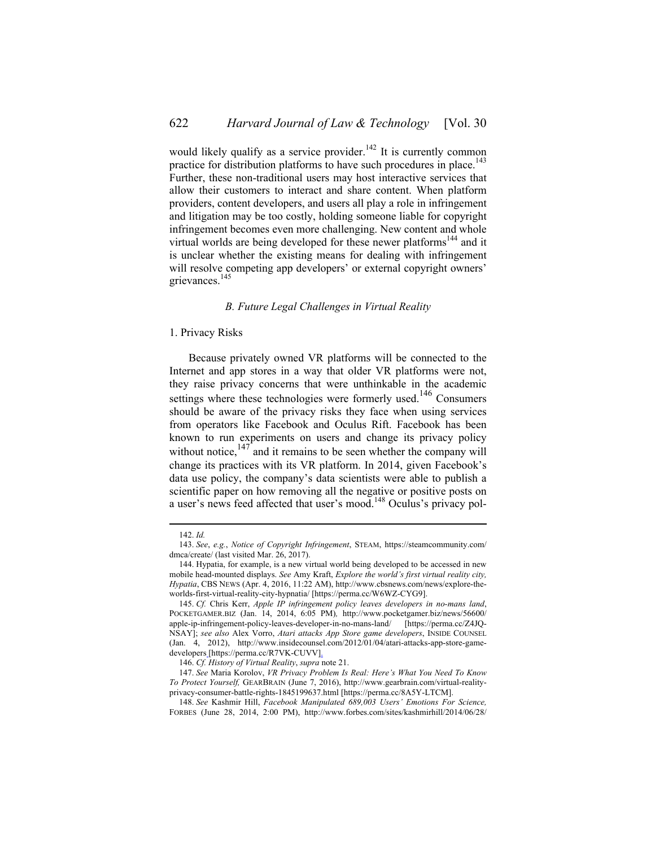would likely qualify as a service provider.<sup>142</sup> It is currently common practice for distribution platforms to have such procedures in place.<sup>143</sup> Further, these non-traditional users may host interactive services that allow their customers to interact and share content. When platform providers, content developers, and users all play a role in infringement and litigation may be too costly, holding someone liable for copyright infringement becomes even more challenging. New content and whole virtual worlds are being developed for these newer platforms<sup>144</sup> and it is unclear whether the existing means for dealing with infringement will resolve competing app developers' or external copyright owners' grievances.<sup>145</sup>

#### *B. Future Legal Challenges in Virtual Reality*

#### 1. Privacy Risks

Because privately owned VR platforms will be connected to the Internet and app stores in a way that older VR platforms were not, they raise privacy concerns that were unthinkable in the academic settings where these technologies were formerly used.<sup>146</sup> Consumers should be aware of the privacy risks they face when using services from operators like Facebook and Oculus Rift. Facebook has been known to run experiments on users and change its privacy policy without notice, $147$  and it remains to be seen whether the company will change its practices with its VR platform. In 2014, given Facebook's data use policy, the company's data scientists were able to publish a scientific paper on how removing all the negative or positive posts on a user's news feed affected that user's mood.<sup>148</sup> Oculus's privacy pol-

 <sup>142.</sup> *Id.*

<sup>143.</sup> *See*, *e.g.*, *Notice of Copyright Infringement*, STEAM, https://steamcommunity.com/ dmca/create/ (last visited Mar. 26, 2017).

<sup>144.</sup> Hypatia, for example, is a new virtual world being developed to be accessed in new mobile head-mounted displays. *See* Amy Kraft, *Explore the world's first virtual reality city, Hypatia*, CBS NEWS (Apr. 4, 2016, 11:22 AM), http://www.cbsnews.com/news/explore-theworlds-first-virtual-reality-city-hypnatia/ [https://perma.cc/W6WZ-CYG9].

<sup>145.</sup> *Cf.* Chris Kerr, *Apple IP infringement policy leaves developers in no-mans land*, POCKETGAMER.BIZ (Jan. 14, 2014, 6:05 PM)*,* http://www.pocketgamer.biz/news/56600/ apple-ip-infringement-policy-leaves-developer-in-no-mans-land/ [https://perma.cc/Z4JQ-NSAY]; *see also* Alex Vorro, *Atari attacks App Store game developers*, INSIDE COUNSEL (Jan. 4, 2012), http://www.insidecounsel.com/2012/01/04/atari-attacks-app-store-gamedevelopers [https://perma.cc/R7VK-CUVV].

<sup>146.</sup> *Cf. History of Virtual Reality*, *supra* note 21.

<sup>147.</sup> *See* Maria Korolov, *VR Privacy Problem Is Real: Here's What You Need To Know To Protect Yourself,* GEARBRAIN (June 7, 2016), http://www.gearbrain.com/virtual-realityprivacy-consumer-battle-rights-1845199637.html [https://perma.cc/8A5Y-LTCM].

<sup>148.</sup> *See* Kashmir Hill, *Facebook Manipulated 689,003 Users' Emotions For Science,*  FORBES (June 28, 2014, 2:00 PM), http://www.forbes.com/sites/kashmirhill/2014/06/28/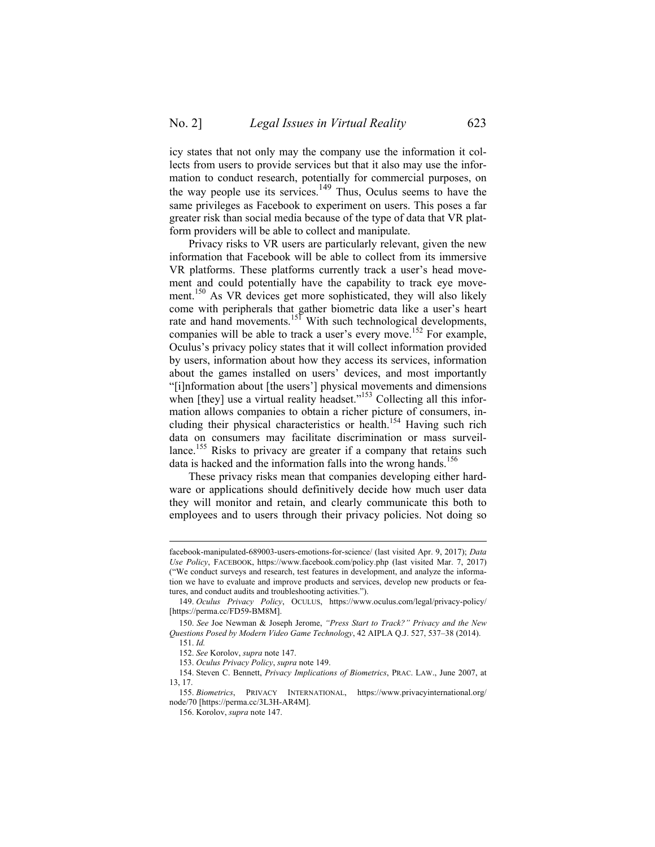icy states that not only may the company use the information it collects from users to provide services but that it also may use the information to conduct research, potentially for commercial purposes, on the way people use its services.<sup>149</sup> Thus, Oculus seems to have the same privileges as Facebook to experiment on users. This poses a far greater risk than social media because of the type of data that VR platform providers will be able to collect and manipulate.

Privacy risks to VR users are particularly relevant, given the new information that Facebook will be able to collect from its immersive VR platforms. These platforms currently track a user's head movement and could potentially have the capability to track eye movement.<sup>150</sup> As VR devices get more sophisticated, they will also likely come with peripherals that gather biometric data like a user's heart rate and hand movements.<sup>151</sup> With such technological developments, companies will be able to track a user's every move.<sup>152</sup> For example, Oculus's privacy policy states that it will collect information provided by users, information about how they access its services, information about the games installed on users' devices, and most importantly "[i]nformation about [the users'] physical movements and dimensions when [they] use a virtual reality headset."<sup>153</sup> Collecting all this information allows companies to obtain a richer picture of consumers, including their physical characteristics or health.<sup>154</sup> Having such rich data on consumers may facilitate discrimination or mass surveillance.<sup>155</sup> Risks to privacy are greater if a company that retains such data is hacked and the information falls into the wrong hands.<sup>156</sup>

These privacy risks mean that companies developing either hardware or applications should definitively decide how much user data they will monitor and retain, and clearly communicate this both to employees and to users through their privacy policies. Not doing so

facebook-manipulated-689003-users-emotions-for-science/ (last visited Apr. 9, 2017); *Data Use Policy*, FACEBOOK, https://www.facebook.com/policy.php (last visited Mar. 7, 2017) ("We conduct surveys and research, test features in development, and analyze the information we have to evaluate and improve products and services, develop new products or features, and conduct audits and troubleshooting activities.").

<sup>149.</sup> *Oculus Privacy Policy*, OCULUS, https://www.oculus.com/legal/privacy-policy/ [https://perma.cc/FD59-BM8M].

<sup>150.</sup> *See* Joe Newman & Joseph Jerome, *"Press Start to Track?" Privacy and the New Questions Posed by Modern Video Game Technology*, 42 AIPLA Q.J. 527, 537–38 (2014).

<sup>151.</sup> *Id.*

<sup>152.</sup> *See* Korolov, *supra* note 147.

<sup>153.</sup> *Oculus Privacy Policy*, *supra* note 149.

<sup>154.</sup> Steven C. Bennett, *Privacy Implications of Biometrics*, PRAC. LAW., June 2007, at 13, 17.

<sup>155.</sup> *Biometrics*, PRIVACY INTERNATIONAL, https://www.privacyinternational.org/ node/70 [https://perma.cc/3L3H-AR4M].

<sup>156.</sup> Korolov, *supra* note 147.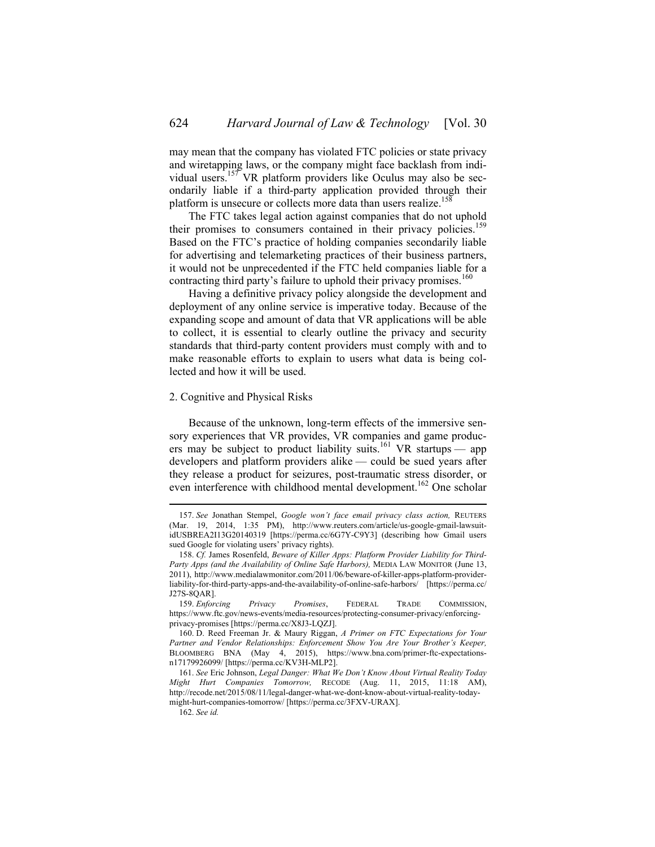may mean that the company has violated FTC policies or state privacy and wiretapping laws, or the company might face backlash from individual users.157 VR platform providers like Oculus may also be secondarily liable if a third-party application provided through their platform is unsecure or collects more data than users realize.<sup>158</sup>

The FTC takes legal action against companies that do not uphold their promises to consumers contained in their privacy policies.<sup>159</sup> Based on the FTC's practice of holding companies secondarily liable for advertising and telemarketing practices of their business partners, it would not be unprecedented if the FTC held companies liable for a contracting third party's failure to uphold their privacy promises.<sup>160</sup>

Having a definitive privacy policy alongside the development and deployment of any online service is imperative today. Because of the expanding scope and amount of data that VR applications will be able to collect, it is essential to clearly outline the privacy and security standards that third-party content providers must comply with and to make reasonable efforts to explain to users what data is being collected and how it will be used.

#### 2. Cognitive and Physical Risks

Because of the unknown, long-term effects of the immersive sensory experiences that VR provides, VR companies and game producers may be subject to product liability suits.<sup>161</sup> VR startups — app developers and platform providers alike — could be sued years after they release a product for seizures, post-traumatic stress disorder, or even interference with childhood mental development.<sup>162</sup> One scholar

 <sup>157.</sup> *See* Jonathan Stempel, *Google won't face email privacy class action,* REUTERS (Mar. 19, 2014, 1:35 PM), http://www.reuters.com/article/us-google-gmail-lawsuitidUSBREA2I13G20140319 [https://perma.cc/6G7Y-C9Y3] (describing how Gmail users sued Google for violating users' privacy rights).

<sup>158.</sup> *Cf.* James Rosenfeld, *Beware of Killer Apps: Platform Provider Liability for Third-Party Apps (and the Availability of Online Safe Harbors),* MEDIA LAW MONITOR (June 13, 2011), http://www.medialawmonitor.com/2011/06/beware-of-killer-apps-platform-providerliability-for-third-party-apps-and-the-availability-of-online-safe-harbors/ [https://perma.cc/ J27S-8QAR].

<sup>159.</sup> *Enforcing Privacy Promises*, FEDERAL TRADE COMMISSION, https://www.ftc.gov/news-events/media-resources/protecting-consumer-privacy/enforcingprivacy-promises [https://perma.cc/X8J3-LQZJ].

<sup>160.</sup> D. Reed Freeman Jr. & Maury Riggan, *A Primer on FTC Expectations for Your Partner and Vendor Relationships: Enforcement Show You Are Your Brother's Keeper,*  BLOOMBERG BNA (May 4, 2015), https://www.bna.com/primer-ftc-expectationsn17179926099/ [https://perma.cc/KV3H-MLP2].

<sup>161.</sup> *See* Eric Johnson, *Legal Danger: What We Don't Know About Virtual Reality Today Might Hurt Companies Tomorrow,* RECODE (Aug. 11, 2015, 11:18 AM), http://recode.net/2015/08/11/legal-danger-what-we-dont-know-about-virtual-reality-todaymight-hurt-companies-tomorrow/ [https://perma.cc/3FXV-URAX].

<sup>162.</sup> *See id.*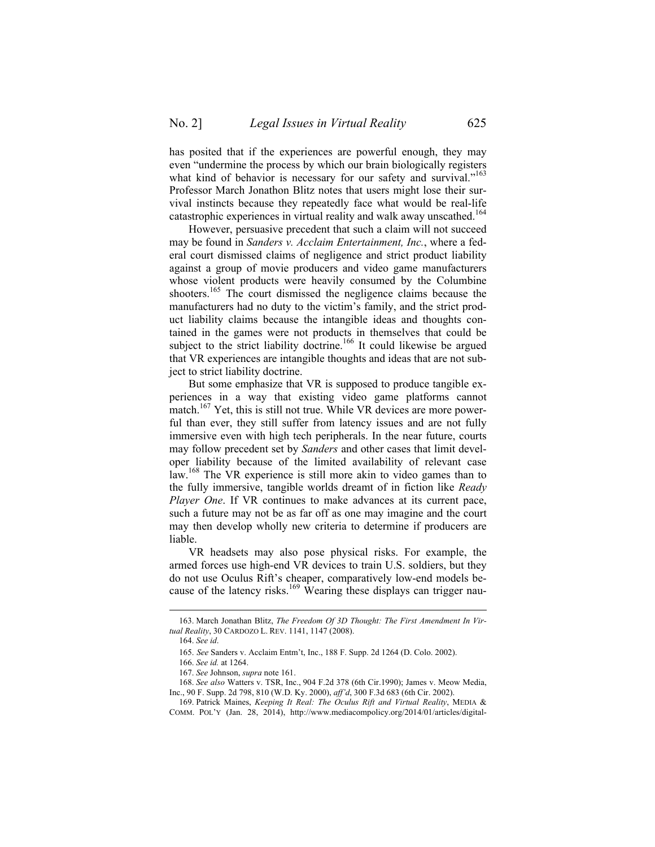has posited that if the experiences are powerful enough, they may even "undermine the process by which our brain biologically registers what kind of behavior is necessary for our safety and survival."<sup>163</sup> Professor March Jonathon Blitz notes that users might lose their survival instincts because they repeatedly face what would be real-life catastrophic experiences in virtual reality and walk away unscathed.<sup>164</sup>

However, persuasive precedent that such a claim will not succeed may be found in *Sanders v. Acclaim Entertainment, Inc.*, where a federal court dismissed claims of negligence and strict product liability against a group of movie producers and video game manufacturers whose violent products were heavily consumed by the Columbine shooters.<sup>165</sup> The court dismissed the negligence claims because the manufacturers had no duty to the victim's family, and the strict product liability claims because the intangible ideas and thoughts contained in the games were not products in themselves that could be subject to the strict liability doctrine.<sup>166</sup> It could likewise be argued that VR experiences are intangible thoughts and ideas that are not subject to strict liability doctrine.

But some emphasize that VR is supposed to produce tangible experiences in a way that existing video game platforms cannot match.<sup>167</sup> Yet, this is still not true. While VR devices are more powerful than ever, they still suffer from latency issues and are not fully immersive even with high tech peripherals. In the near future, courts may follow precedent set by *Sanders* and other cases that limit developer liability because of the limited availability of relevant case law.<sup>168</sup> The VR experience is still more akin to video games than to the fully immersive, tangible worlds dreamt of in fiction like *Ready Player One*. If VR continues to make advances at its current pace, such a future may not be as far off as one may imagine and the court may then develop wholly new criteria to determine if producers are liable.

VR headsets may also pose physical risks. For example, the armed forces use high-end VR devices to train U.S. soldiers, but they do not use Oculus Rift's cheaper, comparatively low-end models because of the latency risks.<sup>169</sup> Wearing these displays can trigger nau-

 <sup>163.</sup> March Jonathan Blitz, *The Freedom Of 3D Thought: The First Amendment In Virtual Reality*, 30 CARDOZO L. REV. 1141, 1147 (2008).

<sup>164.</sup> *See id*.

<sup>165.</sup> *See* Sanders v. Acclaim Entm't, Inc., 188 F. Supp. 2d 1264 (D. Colo. 2002).

<sup>166.</sup> *See id.* at 1264.

<sup>167.</sup> *See* Johnson, *supra* note 161.

<sup>168.</sup> *See also* Watters v. TSR, Inc., 904 F.2d 378 (6th Cir.1990); James v. Meow Media, Inc., 90 F. Supp. 2d 798, 810 (W.D. Ky. 2000), *aff'd*, 300 F.3d 683 (6th Cir. 2002).

<sup>169.</sup> Patrick Maines, *Keeping It Real: The Oculus Rift and Virtual Reality*, MEDIA & COMM. POL'Y (Jan. 28, 2014), http://www.mediacompolicy.org/2014/01/articles/digital-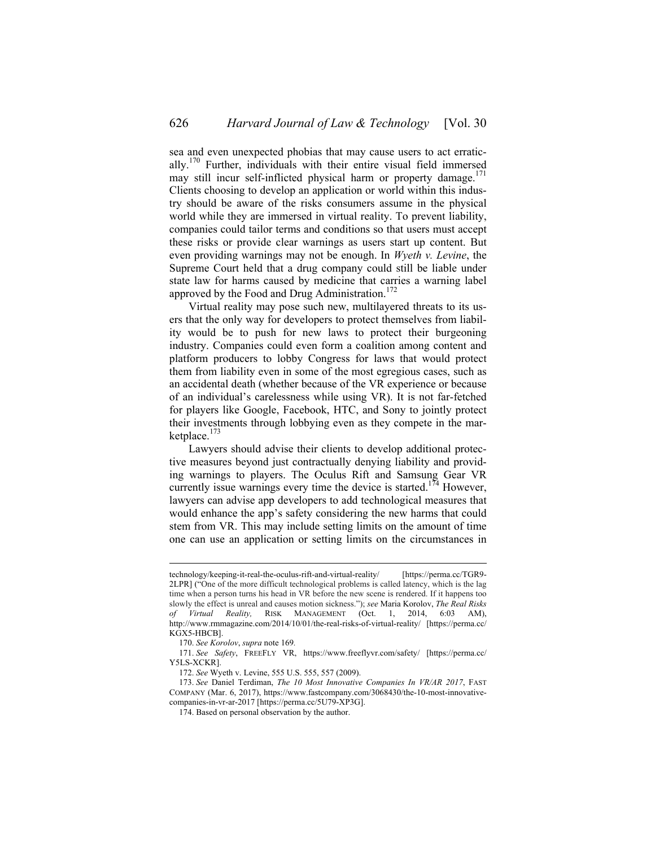sea and even unexpected phobias that may cause users to act erratically. <sup>170</sup> Further, individuals with their entire visual field immersed may still incur self-inflicted physical harm or property damage.<sup>171</sup>

Clients choosing to develop an application or world within this industry should be aware of the risks consumers assume in the physical world while they are immersed in virtual reality. To prevent liability, companies could tailor terms and conditions so that users must accept these risks or provide clear warnings as users start up content. But even providing warnings may not be enough. In *Wyeth v. Levine*, the Supreme Court held that a drug company could still be liable under state law for harms caused by medicine that carries a warning label approved by the Food and Drug Administration.<sup>172</sup>

Virtual reality may pose such new, multilayered threats to its users that the only way for developers to protect themselves from liability would be to push for new laws to protect their burgeoning industry. Companies could even form a coalition among content and platform producers to lobby Congress for laws that would protect them from liability even in some of the most egregious cases, such as an accidental death (whether because of the VR experience or because of an individual's carelessness while using VR). It is not far-fetched for players like Google, Facebook, HTC, and Sony to jointly protect their investments through lobbying even as they compete in the marketplace. 173

Lawyers should advise their clients to develop additional protective measures beyond just contractually denying liability and providing warnings to players. The Oculus Rift and Samsung Gear VR currently issue warnings every time the device is started.<sup>174</sup> However, lawyers can advise app developers to add technological measures that would enhance the app's safety considering the new harms that could stem from VR. This may include setting limits on the amount of time one can use an application or setting limits on the circumstances in

technology/keeping-it-real-the-oculus-rift-and-virtual-reality/ [https://perma.cc/TGR9- 2LPR] ("One of the more difficult technological problems is called latency, which is the lag time when a person turns his head in VR before the new scene is rendered. If it happens too slowly the effect is unreal and causes motion sickness."); *see* Maria Korolov, *The Real Risks of Virtual Reality,* RISK MANAGEMENT (Oct. 1, 2014, 6:03 AM), http://www.rmmagazine.com/2014/10/01/the-real-risks-of-virtual-reality/ [https://perma.cc/ KGX5-HBCB].

<sup>170.</sup> *See Korolov*, *supra* note 169*.*

<sup>171.</sup> *See Safety*, FREEFLY VR, https://www.freeflyvr.com/safety/ [https://perma.cc/ Y5LS-XCKR].

<sup>172.</sup> *See* Wyeth v. Levine, 555 U.S. 555, 557 (2009).

<sup>173.</sup> *See* Daniel Terdiman, *The 10 Most Innovative Companies In VR/AR 2017*, FAST COMPANY (Mar. 6, 2017), https://www.fastcompany.com/3068430/the-10-most-innovativecompanies-in-vr-ar-2017 [https://perma.cc/5U79-XP3G].

<sup>174.</sup> Based on personal observation by the author.